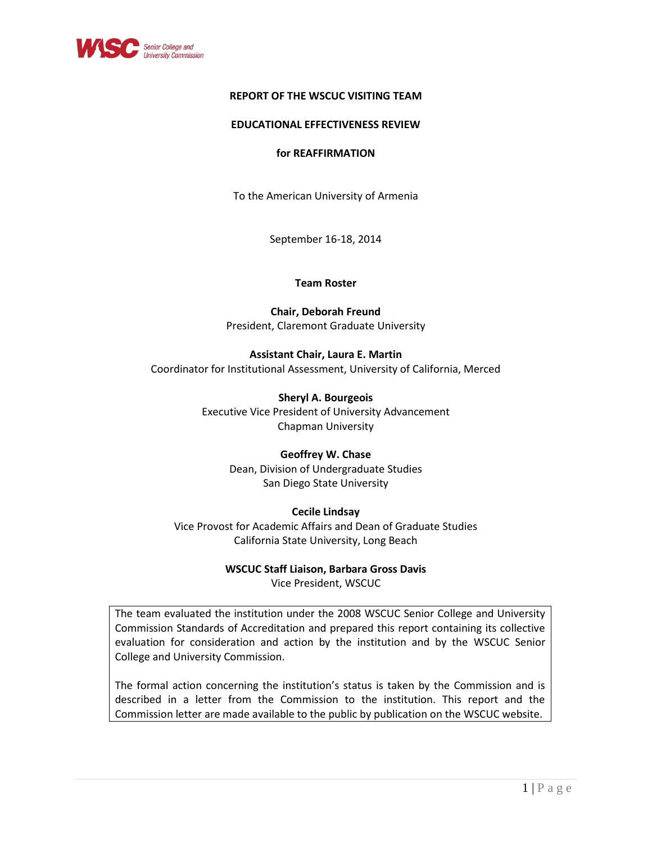

## **REPORT OF THE WSCUC VISITING TEAM**

## **EDUCATIONAL EFFECTIVENESS REVIEW**

## **for REAFFIRMATION**

To the American University of Armenia

September 16-18, 2014

## **Team Roster**

**Chair, Deborah Freund** President, Claremont Graduate University

**Assistant Chair, Laura E. Martin** Coordinator for Institutional Assessment, University of California, Merced

> **Sheryl A. Bourgeois** Executive Vice President of University Advancement Chapman University

## **Geoffrey W. Chase**

Dean, Division of Undergraduate Studies San Diego State University

## **Cecile Lindsay**

Vice Provost for Academic Affairs and Dean of Graduate Studies California State University, Long Beach

#### **WSCUC Staff Liaison, Barbara Gross Davis**

Vice President, WSCUC

The team evaluated the institution under the 2008 WSCUC Senior College and University Commission Standards of Accreditation and prepared this report containing its collective evaluation for consideration and action by the institution and by the WSCUC Senior College and University Commission.

The formal action concerning the institution's status is taken by the Commission and is described in a letter from the Commission to the institution. This report and the Commission letter are made available to the public by publication on the WSCUC website.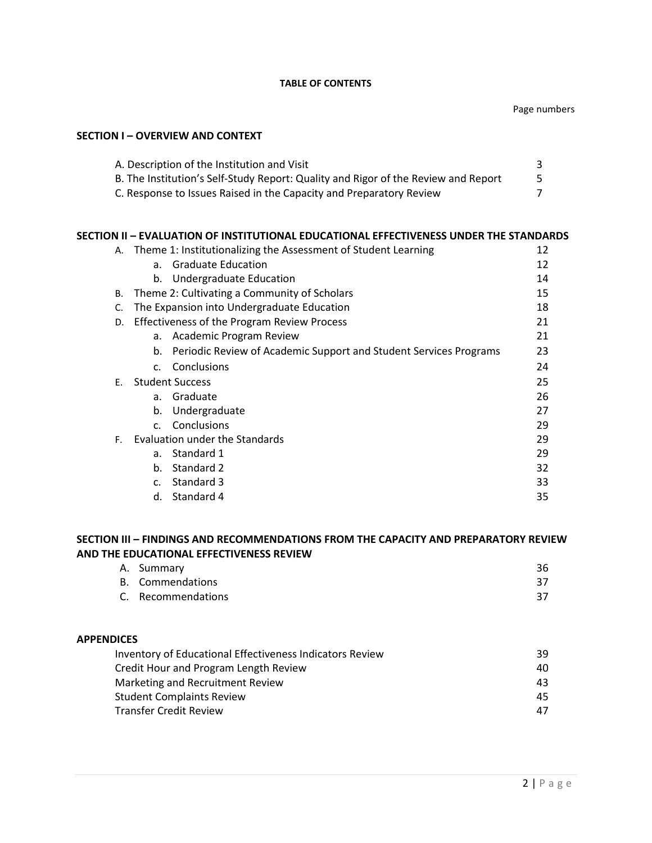#### **TABLE OF CONTENTS**

# **SECTION I – OVERVIEW AND CONTEXT**

| A. Description of the Institution and Visit                                        |  |
|------------------------------------------------------------------------------------|--|
| B. The Institution's Self-Study Report: Quality and Rigor of the Review and Report |  |
| C. Response to Issues Raised in the Capacity and Preparatory Review                |  |

## **SECTION II – EVALUATION OF INSTITUTIONAL EDUCATIONAL EFFECTIVENESS UNDER THE STANDARDS**

|                                      |                                                    | A. Theme 1: Institutionalizing the Assessment of Student Learning | 12 |
|--------------------------------------|----------------------------------------------------|-------------------------------------------------------------------|----|
|                                      |                                                    | a. Graduate Education                                             | 12 |
|                                      |                                                    | b. Undergraduate Education                                        | 14 |
| В.                                   |                                                    | Theme 2: Cultivating a Community of Scholars                      | 15 |
| C.                                   |                                                    | The Expansion into Undergraduate Education                        | 18 |
| D.                                   | <b>Effectiveness of the Program Review Process</b> |                                                                   | 21 |
|                                      | a.                                                 | Academic Program Review                                           | 21 |
|                                      | b.                                                 | Periodic Review of Academic Support and Student Services Programs | 23 |
|                                      |                                                    | c. Conclusions                                                    | 24 |
| E.                                   | <b>Student Success</b>                             |                                                                   | 25 |
|                                      | a <sub>1</sub>                                     | Graduate                                                          | 26 |
|                                      | b.                                                 | Undergraduate                                                     | 27 |
|                                      |                                                    | c. Conclusions                                                    | 29 |
| Evaluation under the Standards<br>F. |                                                    | 29                                                                |    |
|                                      | a.                                                 | Standard 1                                                        | 29 |
|                                      | b.                                                 | Standard 2                                                        | 32 |
|                                      | $\mathsf{C}$ .                                     | Standard 3                                                        | 33 |
|                                      | d.                                                 | Standard 4                                                        | 35 |

## **SECTION III – FINDINGS AND RECOMMENDATIONS FROM THE CAPACITY AND PREPARATORY REVIEW AND THE EDUCATIONAL EFFECTIVENESS REVIEW**

| A. Summary         |  |
|--------------------|--|
| B. Commendations   |  |
| C. Recommendations |  |

# **APPENDICES**

| Inventory of Educational Effectiveness Indicators Review | 39  |
|----------------------------------------------------------|-----|
| Credit Hour and Program Length Review                    | 40. |
| Marketing and Recruitment Review                         | 43. |
| <b>Student Complaints Review</b>                         | 45. |
| <b>Transfer Credit Review</b>                            | 47  |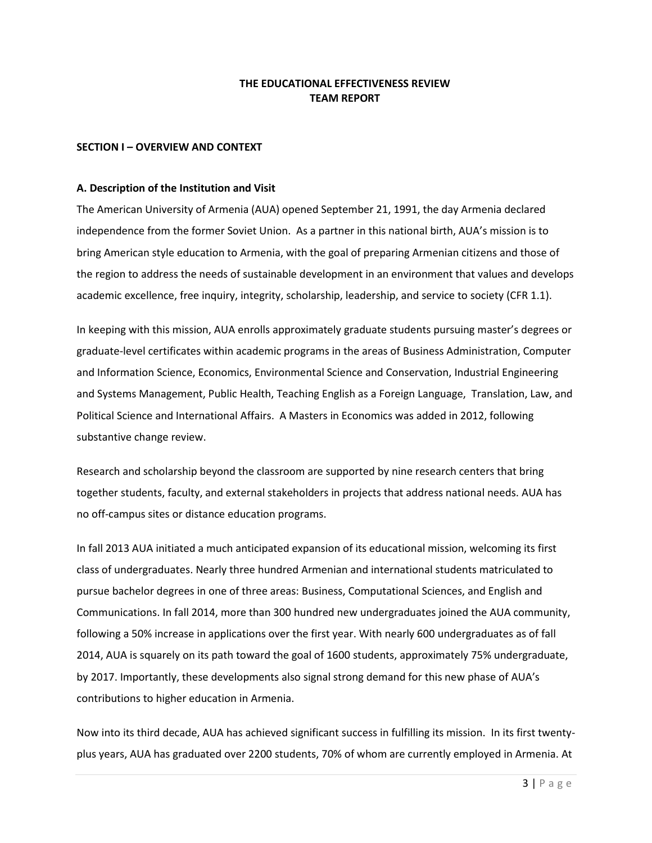## **THE EDUCATIONAL EFFECTIVENESS REVIEW TEAM REPORT**

## **SECTION I – OVERVIEW AND CONTEXT**

#### **A. Description of the Institution and Visit**

The American University of Armenia (AUA) opened September 21, 1991, the day Armenia declared independence from the former Soviet Union. As a partner in this national birth, AUA's mission is to bring American style education to Armenia, with the goal of preparing Armenian citizens and those of the region to address the needs of sustainable development in an environment that values and develops academic excellence, free inquiry, integrity, scholarship, leadership, and service to society (CFR 1.1).

In keeping with this mission, AUA enrolls approximately graduate students pursuing master's degrees or graduate-level certificates within academic programs in the areas of Business Administration, Computer and Information Science, Economics, Environmental Science and Conservation, Industrial Engineering and Systems Management, Public Health, Teaching English as a Foreign Language, Translation, Law, and Political Science and International Affairs. A Masters in Economics was added in 2012, following substantive change review.

Research and scholarship beyond the classroom are supported by nine research centers that bring together students, faculty, and external stakeholders in projects that address national needs. AUA has no off-campus sites or distance education programs.

In fall 2013 AUA initiated a much anticipated expansion of its educational mission, welcoming its first class of undergraduates. Nearly three hundred Armenian and international students matriculated to pursue bachelor degrees in one of three areas: Business, Computational Sciences, and English and Communications. In fall 2014, more than 300 hundred new undergraduates joined the AUA community, following a 50% increase in applications over the first year. With nearly 600 undergraduates as of fall 2014, AUA is squarely on its path toward the goal of 1600 students, approximately 75% undergraduate, by 2017. Importantly, these developments also signal strong demand for this new phase of AUA's contributions to higher education in Armenia.

Now into its third decade, AUA has achieved significant success in fulfilling its mission. In its first twentyplus years, AUA has graduated over 2200 students, 70% of whom are currently employed in Armenia. At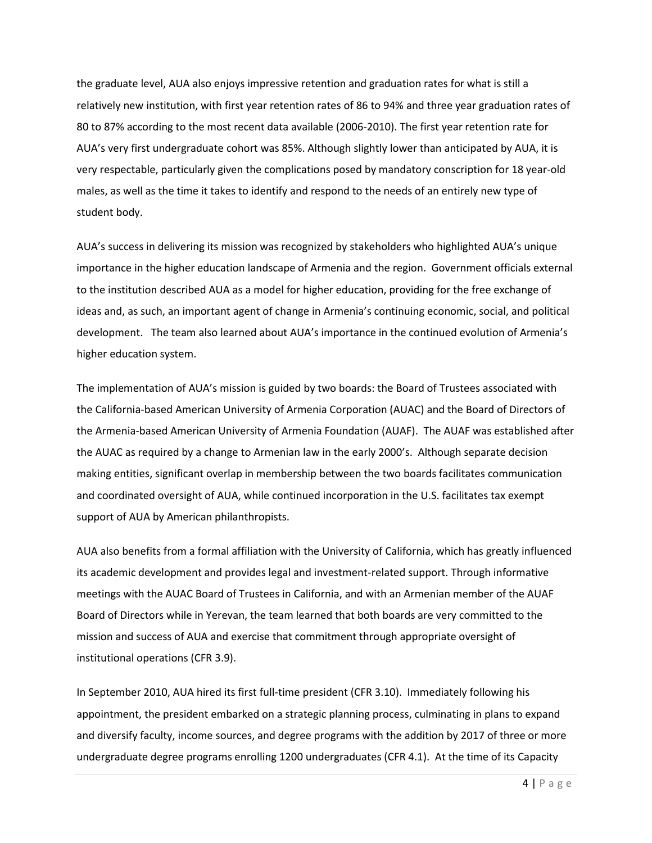the graduate level, AUA also enjoys impressive retention and graduation rates for what is still a relatively new institution, with first year retention rates of 86 to 94% and three year graduation rates of 80 to 87% according to the most recent data available (2006-2010). The first year retention rate for AUA's very first undergraduate cohort was 85%. Although slightly lower than anticipated by AUA, it is very respectable, particularly given the complications posed by mandatory conscription for 18 year-old males, as well as the time it takes to identify and respond to the needs of an entirely new type of student body.

AUA's success in delivering its mission was recognized by stakeholders who highlighted AUA's unique importance in the higher education landscape of Armenia and the region. Government officials external to the institution described AUA as a model for higher education, providing for the free exchange of ideas and, as such, an important agent of change in Armenia's continuing economic, social, and political development. The team also learned about AUA's importance in the continued evolution of Armenia's higher education system.

The implementation of AUA's mission is guided by two boards: the Board of Trustees associated with the California-based American University of Armenia Corporation (AUAC) and the Board of Directors of the Armenia-based American University of Armenia Foundation (AUAF). The AUAF was established after the AUAC as required by a change to Armenian law in the early 2000's. Although separate decision making entities, significant overlap in membership between the two boards facilitates communication and coordinated oversight of AUA, while continued incorporation in the U.S. facilitates tax exempt support of AUA by American philanthropists.

AUA also benefits from a formal affiliation with the University of California, which has greatly influenced its academic development and provides legal and investment-related support. Through informative meetings with the AUAC Board of Trustees in California, and with an Armenian member of the AUAF Board of Directors while in Yerevan, the team learned that both boards are very committed to the mission and success of AUA and exercise that commitment through appropriate oversight of institutional operations (CFR 3.9).

In September 2010, AUA hired its first full-time president (CFR 3.10). Immediately following his appointment, the president embarked on a strategic planning process, culminating in plans to expand and diversify faculty, income sources, and degree programs with the addition by 2017 of three or more undergraduate degree programs enrolling 1200 undergraduates (CFR 4.1). At the time of its Capacity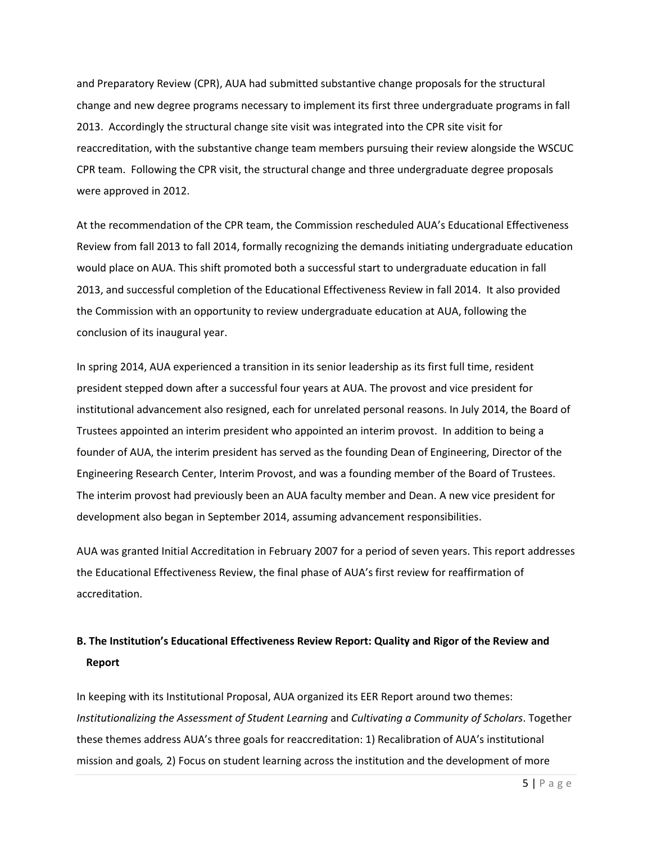and Preparatory Review (CPR), AUA had submitted substantive change proposals for the structural change and new degree programs necessary to implement its first three undergraduate programs in fall 2013. Accordingly the structural change site visit was integrated into the CPR site visit for reaccreditation, with the substantive change team members pursuing their review alongside the WSCUC CPR team. Following the CPR visit, the structural change and three undergraduate degree proposals were approved in 2012.

At the recommendation of the CPR team, the Commission rescheduled AUA's Educational Effectiveness Review from fall 2013 to fall 2014, formally recognizing the demands initiating undergraduate education would place on AUA. This shift promoted both a successful start to undergraduate education in fall 2013, and successful completion of the Educational Effectiveness Review in fall 2014. It also provided the Commission with an opportunity to review undergraduate education at AUA, following the conclusion of its inaugural year.

In spring 2014, AUA experienced a transition in its senior leadership as its first full time, resident president stepped down after a successful four years at AUA. The provost and vice president for institutional advancement also resigned, each for unrelated personal reasons. In July 2014, the Board of Trustees appointed an interim president who appointed an interim provost. In addition to being a founder of AUA, the interim president has served as the founding Dean of Engineering, Director of the Engineering Research Center, Interim Provost, and was a founding member of the Board of Trustees. The interim provost had previously been an AUA faculty member and Dean. A new vice president for development also began in September 2014, assuming advancement responsibilities.

AUA was granted Initial Accreditation in February 2007 for a period of seven years. This report addresses the Educational Effectiveness Review, the final phase of AUA's first review for reaffirmation of accreditation.

# **B. The Institution's Educational Effectiveness Review Report: Quality and Rigor of the Review and Report**

In keeping with its Institutional Proposal, AUA organized its EER Report around two themes: *Institutionalizing the Assessment of Student Learning* and *Cultivating a Community of Scholars*. Together these themes address AUA's three goals for reaccreditation: 1) Recalibration of AUA's institutional mission and goals*,* 2) Focus on student learning across the institution and the development of more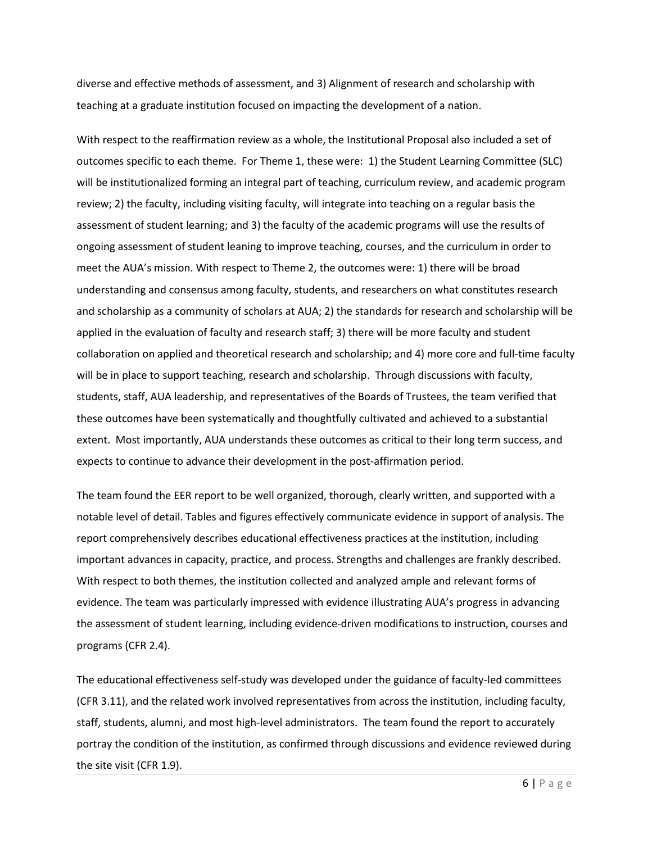diverse and effective methods of assessment, and 3) Alignment of research and scholarship with teaching at a graduate institution focused on impacting the development of a nation.

With respect to the reaffirmation review as a whole, the Institutional Proposal also included a set of outcomes specific to each theme. For Theme 1, these were: 1) the Student Learning Committee (SLC) will be institutionalized forming an integral part of teaching, curriculum review, and academic program review; 2) the faculty, including visiting faculty, will integrate into teaching on a regular basis the assessment of student learning; and 3) the faculty of the academic programs will use the results of ongoing assessment of student leaning to improve teaching, courses, and the curriculum in order to meet the AUA's mission. With respect to Theme 2, the outcomes were: 1) there will be broad understanding and consensus among faculty, students, and researchers on what constitutes research and scholarship as a community of scholars at AUA; 2) the standards for research and scholarship will be applied in the evaluation of faculty and research staff; 3) there will be more faculty and student collaboration on applied and theoretical research and scholarship; and 4) more core and full-time faculty will be in place to support teaching, research and scholarship. Through discussions with faculty, students, staff, AUA leadership, and representatives of the Boards of Trustees, the team verified that these outcomes have been systematically and thoughtfully cultivated and achieved to a substantial extent. Most importantly, AUA understands these outcomes as critical to their long term success, and expects to continue to advance their development in the post-affirmation period.

The team found the EER report to be well organized, thorough, clearly written, and supported with a notable level of detail. Tables and figures effectively communicate evidence in support of analysis. The report comprehensively describes educational effectiveness practices at the institution, including important advances in capacity, practice, and process. Strengths and challenges are frankly described. With respect to both themes, the institution collected and analyzed ample and relevant forms of evidence. The team was particularly impressed with evidence illustrating AUA's progress in advancing the assessment of student learning, including evidence-driven modifications to instruction, courses and programs (CFR 2.4).

The educational effectiveness self-study was developed under the guidance of faculty-led committees (CFR 3.11), and the related work involved representatives from across the institution, including faculty, staff, students, alumni, and most high-level administrators. The team found the report to accurately portray the condition of the institution, as confirmed through discussions and evidence reviewed during the site visit (CFR 1.9).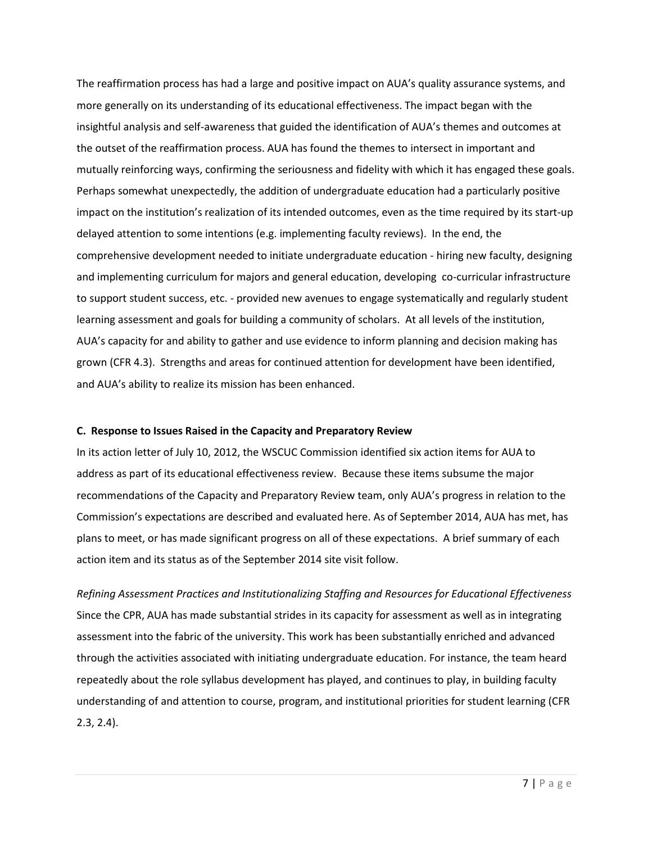The reaffirmation process has had a large and positive impact on AUA's quality assurance systems, and more generally on its understanding of its educational effectiveness. The impact began with the insightful analysis and self-awareness that guided the identification of AUA's themes and outcomes at the outset of the reaffirmation process. AUA has found the themes to intersect in important and mutually reinforcing ways, confirming the seriousness and fidelity with which it has engaged these goals. Perhaps somewhat unexpectedly, the addition of undergraduate education had a particularly positive impact on the institution's realization of its intended outcomes, even as the time required by its start-up delayed attention to some intentions (e.g. implementing faculty reviews). In the end, the comprehensive development needed to initiate undergraduate education - hiring new faculty, designing and implementing curriculum for majors and general education, developing co-curricular infrastructure to support student success, etc. - provided new avenues to engage systematically and regularly student learning assessment and goals for building a community of scholars. At all levels of the institution, AUA's capacity for and ability to gather and use evidence to inform planning and decision making has grown (CFR 4.3). Strengths and areas for continued attention for development have been identified, and AUA's ability to realize its mission has been enhanced.

#### **C. Response to Issues Raised in the Capacity and Preparatory Review**

In its action letter of July 10, 2012, the WSCUC Commission identified six action items for AUA to address as part of its educational effectiveness review. Because these items subsume the major recommendations of the Capacity and Preparatory Review team, only AUA's progress in relation to the Commission's expectations are described and evaluated here. As of September 2014, AUA has met, has plans to meet, or has made significant progress on all of these expectations. A brief summary of each action item and its status as of the September 2014 site visit follow.

*Refining Assessment Practices and Institutionalizing Staffing and Resources for Educational Effectiveness* Since the CPR, AUA has made substantial strides in its capacity for assessment as well as in integrating assessment into the fabric of the university. This work has been substantially enriched and advanced through the activities associated with initiating undergraduate education. For instance, the team heard repeatedly about the role syllabus development has played, and continues to play, in building faculty understanding of and attention to course, program, and institutional priorities for student learning (CFR 2.3, 2.4).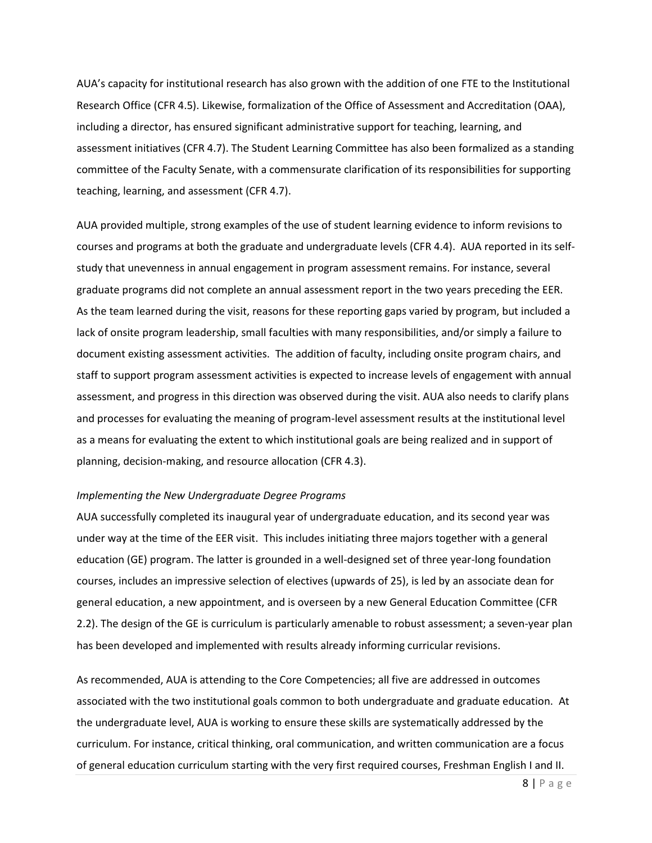AUA's capacity for institutional research has also grown with the addition of one FTE to the Institutional Research Office (CFR 4.5). Likewise, formalization of the Office of Assessment and Accreditation (OAA), including a director, has ensured significant administrative support for teaching, learning, and assessment initiatives (CFR 4.7). The Student Learning Committee has also been formalized as a standing committee of the Faculty Senate, with a commensurate clarification of its responsibilities for supporting teaching, learning, and assessment (CFR 4.7).

AUA provided multiple, strong examples of the use of student learning evidence to inform revisions to courses and programs at both the graduate and undergraduate levels (CFR 4.4). AUA reported in its selfstudy that unevenness in annual engagement in program assessment remains. For instance, several graduate programs did not complete an annual assessment report in the two years preceding the EER. As the team learned during the visit, reasons for these reporting gaps varied by program, but included a lack of onsite program leadership, small faculties with many responsibilities, and/or simply a failure to document existing assessment activities. The addition of faculty, including onsite program chairs, and staff to support program assessment activities is expected to increase levels of engagement with annual assessment, and progress in this direction was observed during the visit. AUA also needs to clarify plans and processes for evaluating the meaning of program-level assessment results at the institutional level as a means for evaluating the extent to which institutional goals are being realized and in support of planning, decision-making, and resource allocation (CFR 4.3).

#### *Implementing the New Undergraduate Degree Programs*

AUA successfully completed its inaugural year of undergraduate education, and its second year was under way at the time of the EER visit. This includes initiating three majors together with a general education (GE) program. The latter is grounded in a well-designed set of three year-long foundation courses, includes an impressive selection of electives (upwards of 25), is led by an associate dean for general education, a new appointment, and is overseen by a new General Education Committee (CFR 2.2). The design of the GE is curriculum is particularly amenable to robust assessment; a seven-year plan has been developed and implemented with results already informing curricular revisions.

As recommended, AUA is attending to the Core Competencies; all five are addressed in outcomes associated with the two institutional goals common to both undergraduate and graduate education. At the undergraduate level, AUA is working to ensure these skills are systematically addressed by the curriculum. For instance, critical thinking, oral communication, and written communication are a focus of general education curriculum starting with the very first required courses, Freshman English I and II.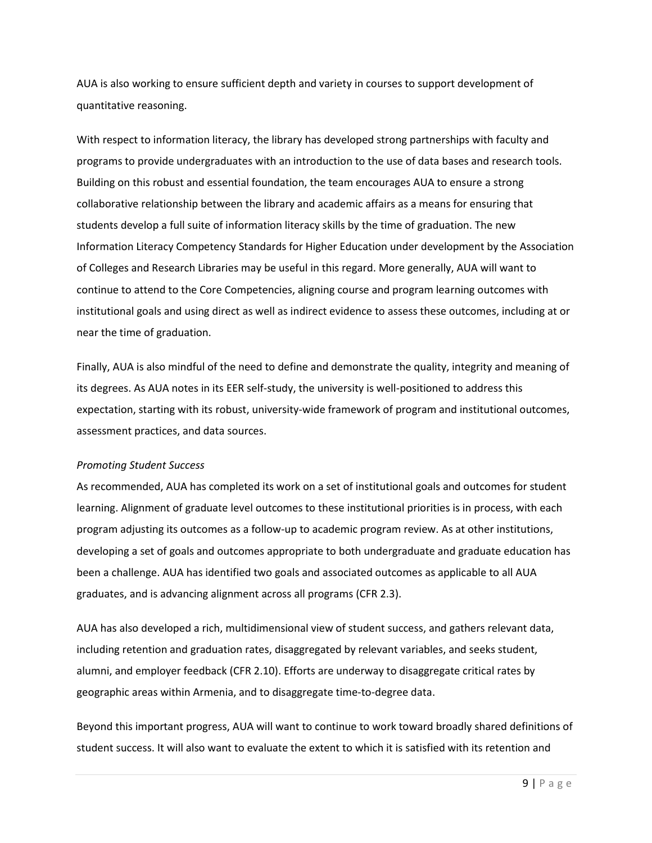AUA is also working to ensure sufficient depth and variety in courses to support development of quantitative reasoning.

With respect to information literacy, the library has developed strong partnerships with faculty and programs to provide undergraduates with an introduction to the use of data bases and research tools. Building on this robust and essential foundation, the team encourages AUA to ensure a strong collaborative relationship between the library and academic affairs as a means for ensuring that students develop a full suite of information literacy skills by the time of graduation. The new Information Literacy Competency Standards for Higher Education under development by the Association of Colleges and Research Libraries may be useful in this regard. More generally, AUA will want to continue to attend to the Core Competencies, aligning course and program learning outcomes with institutional goals and using direct as well as indirect evidence to assess these outcomes, including at or near the time of graduation.

Finally, AUA is also mindful of the need to define and demonstrate the quality, integrity and meaning of its degrees. As AUA notes in its EER self-study, the university is well-positioned to address this expectation, starting with its robust, university-wide framework of program and institutional outcomes, assessment practices, and data sources.

#### *Promoting Student Success*

As recommended, AUA has completed its work on a set of institutional goals and outcomes for student learning. Alignment of graduate level outcomes to these institutional priorities is in process, with each program adjusting its outcomes as a follow-up to academic program review. As at other institutions, developing a set of goals and outcomes appropriate to both undergraduate and graduate education has been a challenge. AUA has identified two goals and associated outcomes as applicable to all AUA graduates, and is advancing alignment across all programs (CFR 2.3).

AUA has also developed a rich, multidimensional view of student success, and gathers relevant data, including retention and graduation rates, disaggregated by relevant variables, and seeks student, alumni, and employer feedback (CFR 2.10). Efforts are underway to disaggregate critical rates by geographic areas within Armenia, and to disaggregate time-to-degree data.

Beyond this important progress, AUA will want to continue to work toward broadly shared definitions of student success. It will also want to evaluate the extent to which it is satisfied with its retention and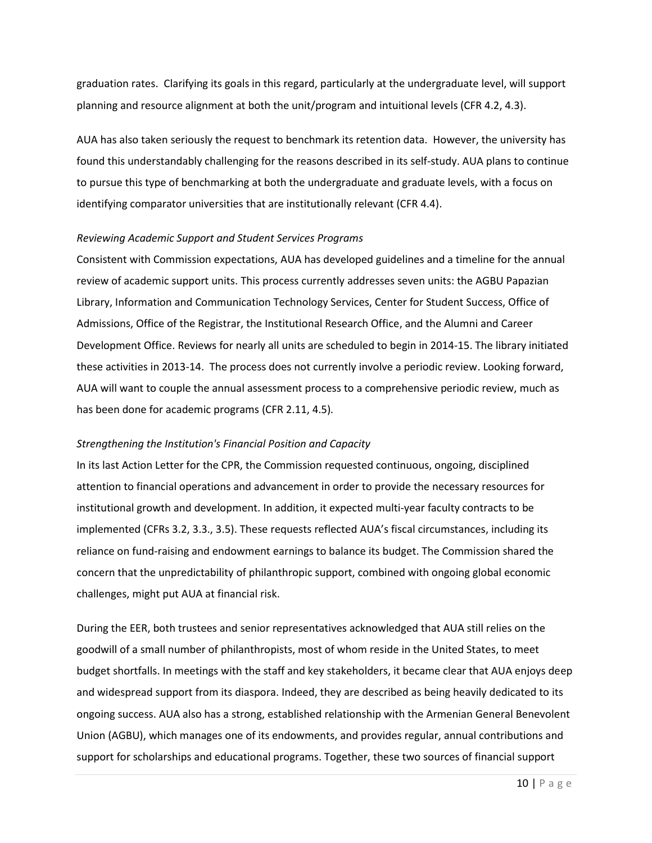graduation rates. Clarifying its goals in this regard, particularly at the undergraduate level, will support planning and resource alignment at both the unit/program and intuitional levels (CFR 4.2, 4.3).

AUA has also taken seriously the request to benchmark its retention data. However, the university has found this understandably challenging for the reasons described in its self-study. AUA plans to continue to pursue this type of benchmarking at both the undergraduate and graduate levels, with a focus on identifying comparator universities that are institutionally relevant (CFR 4.4).

#### *Reviewing Academic Support and Student Services Programs*

Consistent with Commission expectations, AUA has developed guidelines and a timeline for the annual review of academic support units. This process currently addresses seven units: the AGBU Papazian Library, Information and Communication Technology Services, Center for Student Success, Office of Admissions, Office of the Registrar, the Institutional Research Office, and the Alumni and Career Development Office. Reviews for nearly all units are scheduled to begin in 2014-15. The library initiated these activities in 2013-14. The process does not currently involve a periodic review. Looking forward, AUA will want to couple the annual assessment process to a comprehensive periodic review, much as has been done for academic programs (CFR 2.11, 4.5)*.*

#### *Strengthening the Institution's Financial Position and Capacity*

In its last Action Letter for the CPR, the Commission requested continuous, ongoing, disciplined attention to financial operations and advancement in order to provide the necessary resources for institutional growth and development. In addition, it expected multi-year faculty contracts to be implemented (CFRs 3.2, 3.3., 3.5). These requests reflected AUA's fiscal circumstances, including its reliance on fund-raising and endowment earnings to balance its budget. The Commission shared the concern that the unpredictability of philanthropic support, combined with ongoing global economic challenges, might put AUA at financial risk.

During the EER, both trustees and senior representatives acknowledged that AUA still relies on the goodwill of a small number of philanthropists, most of whom reside in the United States, to meet budget shortfalls. In meetings with the staff and key stakeholders, it became clear that AUA enjoys deep and widespread support from its diaspora. Indeed, they are described as being heavily dedicated to its ongoing success. AUA also has a strong, established relationship with the Armenian General Benevolent Union (AGBU), which manages one of its endowments, and provides regular, annual contributions and support for scholarships and educational programs. Together, these two sources of financial support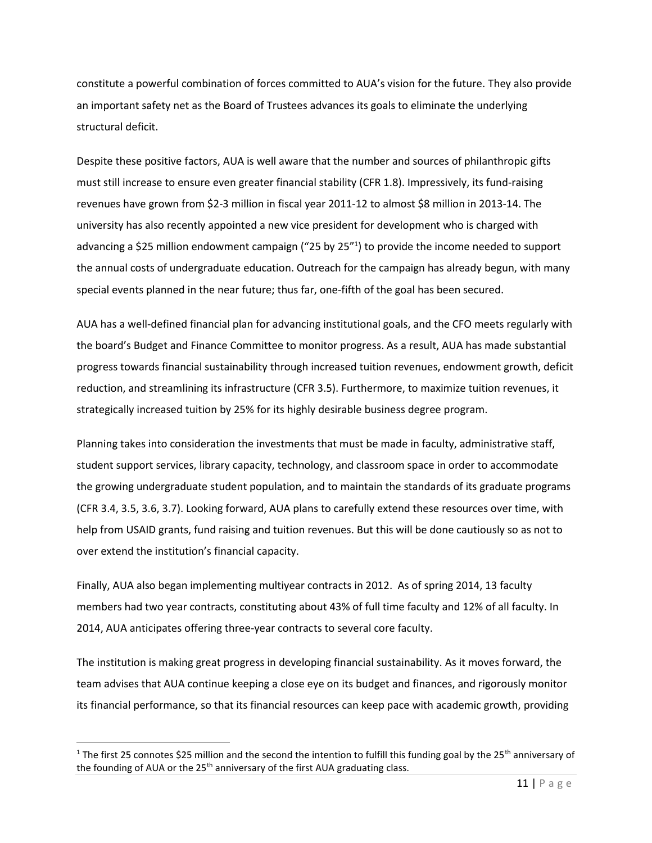constitute a powerful combination of forces committed to AUA's vision for the future. They also provide an important safety net as the Board of Trustees advances its goals to eliminate the underlying structural deficit.

Despite these positive factors, AUA is well aware that the number and sources of philanthropic gifts must still increase to ensure even greater financial stability (CFR 1.8). Impressively, its fund-raising revenues have grown from \$2-3 million in fiscal year 2011-12 to almost \$8 million in 2013-14. The university has also recently appointed a new vice president for development who is charged with advancing a \$25 million endowment campaign ("25 by 25"1) to provide the income needed to support the annual costs of undergraduate education. Outreach for the campaign has already begun, with many special events planned in the near future; thus far, one-fifth of the goal has been secured.

AUA has a well-defined financial plan for advancing institutional goals, and the CFO meets regularly with the board's Budget and Finance Committee to monitor progress. As a result, AUA has made substantial progress towards financial sustainability through increased tuition revenues, endowment growth, deficit reduction, and streamlining its infrastructure (CFR 3.5). Furthermore, to maximize tuition revenues, it strategically increased tuition by 25% for its highly desirable business degree program.

Planning takes into consideration the investments that must be made in faculty, administrative staff, student support services, library capacity, technology, and classroom space in order to accommodate the growing undergraduate student population, and to maintain the standards of its graduate programs (CFR 3.4, 3.5, 3.6, 3.7). Looking forward, AUA plans to carefully extend these resources over time, with help from USAID grants, fund raising and tuition revenues. But this will be done cautiously so as not to over extend the institution's financial capacity.

Finally, AUA also began implementing multiyear contracts in 2012. As of spring 2014, 13 faculty members had two year contracts, constituting about 43% of full time faculty and 12% of all faculty. In 2014, AUA anticipates offering three-year contracts to several core faculty.

The institution is making great progress in developing financial sustainability. As it moves forward, the team advises that AUA continue keeping a close eye on its budget and finances, and rigorously monitor its financial performance, so that its financial resources can keep pace with academic growth, providing

 $\overline{a}$ 

<sup>&</sup>lt;sup>1</sup> The first 25 connotes \$25 million and the second the intention to fulfill this funding goal by the 25<sup>th</sup> anniversary of the founding of AUA or the  $25<sup>th</sup>$  anniversary of the first AUA graduating class.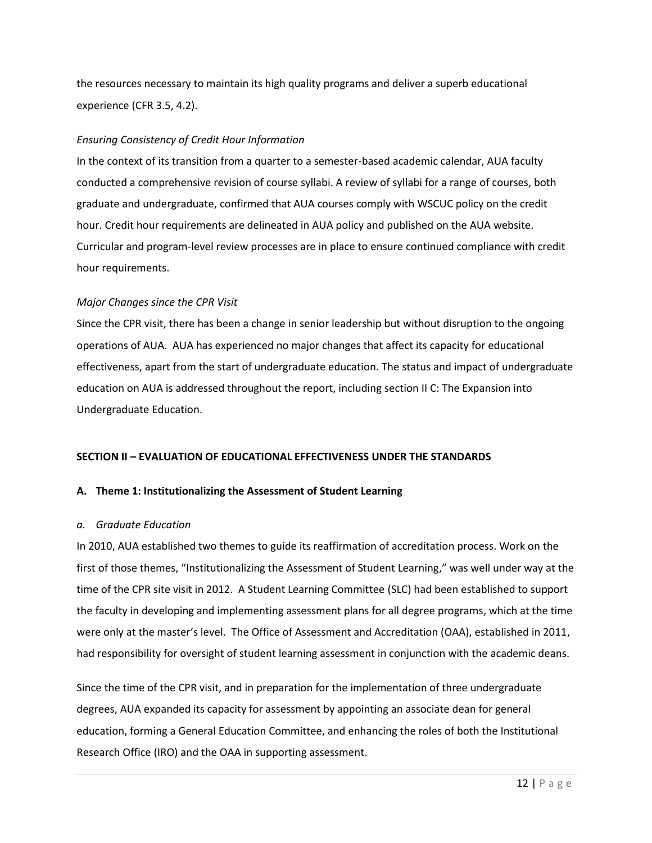the resources necessary to maintain its high quality programs and deliver a superb educational experience (CFR 3.5, 4.2).

## *Ensuring Consistency of Credit Hour Information*

In the context of its transition from a quarter to a semester-based academic calendar, AUA faculty conducted a comprehensive revision of course syllabi. A review of syllabi for a range of courses, both graduate and undergraduate, confirmed that AUA courses comply with WSCUC policy on the credit hour. Credit hour requirements are delineated in AUA policy and published on the AUA website. Curricular and program-level review processes are in place to ensure continued compliance with credit hour requirements.

## *Major Changes since the CPR Visit*

Since the CPR visit, there has been a change in senior leadership but without disruption to the ongoing operations of AUA. AUA has experienced no major changes that affect its capacity for educational effectiveness, apart from the start of undergraduate education. The status and impact of undergraduate education on AUA is addressed throughout the report, including section II C: The Expansion into Undergraduate Education.

## **SECTION II – EVALUATION OF EDUCATIONAL EFFECTIVENESS UNDER THE STANDARDS**

#### **A. Theme 1: Institutionalizing the Assessment of Student Learning**

#### *a. Graduate Education*

In 2010, AUA established two themes to guide its reaffirmation of accreditation process. Work on the first of those themes, "Institutionalizing the Assessment of Student Learning," was well under way at the time of the CPR site visit in 2012. A Student Learning Committee (SLC) had been established to support the faculty in developing and implementing assessment plans for all degree programs, which at the time were only at the master's level. The Office of Assessment and Accreditation (OAA), established in 2011, had responsibility for oversight of student learning assessment in conjunction with the academic deans.

Since the time of the CPR visit, and in preparation for the implementation of three undergraduate degrees, AUA expanded its capacity for assessment by appointing an associate dean for general education, forming a General Education Committee, and enhancing the roles of both the Institutional Research Office (IRO) and the OAA in supporting assessment.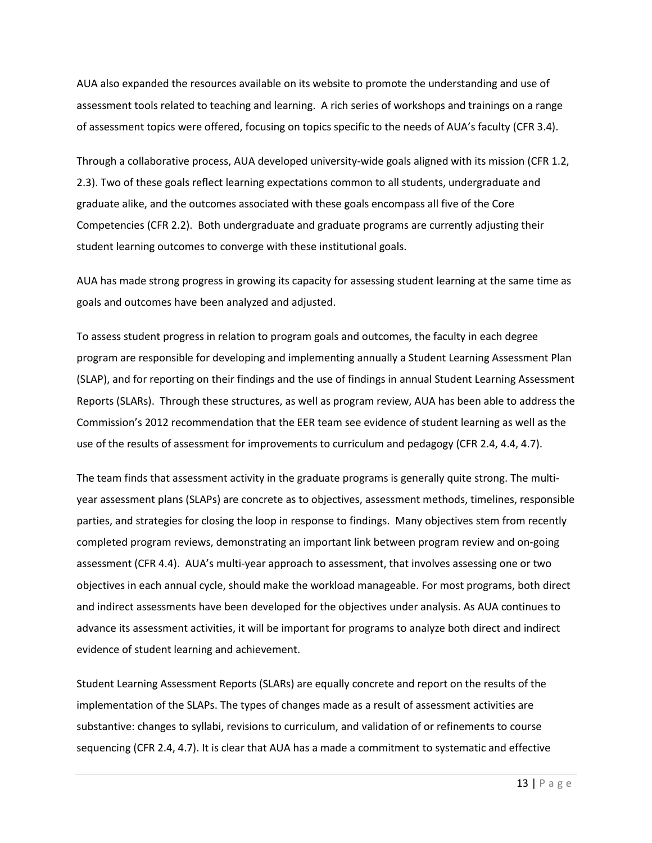AUA also expanded the resources available on its website to promote the understanding and use of assessment tools related to teaching and learning. A rich series of workshops and trainings on a range of assessment topics were offered, focusing on topics specific to the needs of AUA's faculty (CFR 3.4).

Through a collaborative process, AUA developed university-wide goals aligned with its mission (CFR 1.2, 2.3). Two of these goals reflect learning expectations common to all students, undergraduate and graduate alike, and the outcomes associated with these goals encompass all five of the Core Competencies (CFR 2.2). Both undergraduate and graduate programs are currently adjusting their student learning outcomes to converge with these institutional goals.

AUA has made strong progress in growing its capacity for assessing student learning at the same time as goals and outcomes have been analyzed and adjusted.

To assess student progress in relation to program goals and outcomes, the faculty in each degree program are responsible for developing and implementing annually a Student Learning Assessment Plan (SLAP), and for reporting on their findings and the use of findings in annual Student Learning Assessment Reports (SLARs). Through these structures, as well as program review, AUA has been able to address the Commission's 2012 recommendation that the EER team see evidence of student learning as well as the use of the results of assessment for improvements to curriculum and pedagogy (CFR 2.4, 4.4, 4.7).

The team finds that assessment activity in the graduate programs is generally quite strong. The multiyear assessment plans (SLAPs) are concrete as to objectives, assessment methods, timelines, responsible parties, and strategies for closing the loop in response to findings. Many objectives stem from recently completed program reviews, demonstrating an important link between program review and on-going assessment (CFR 4.4). AUA's multi-year approach to assessment, that involves assessing one or two objectives in each annual cycle, should make the workload manageable. For most programs, both direct and indirect assessments have been developed for the objectives under analysis. As AUA continues to advance its assessment activities, it will be important for programs to analyze both direct and indirect evidence of student learning and achievement.

Student Learning Assessment Reports (SLARs) are equally concrete and report on the results of the implementation of the SLAPs. The types of changes made as a result of assessment activities are substantive: changes to syllabi, revisions to curriculum, and validation of or refinements to course sequencing (CFR 2.4, 4.7). It is clear that AUA has a made a commitment to systematic and effective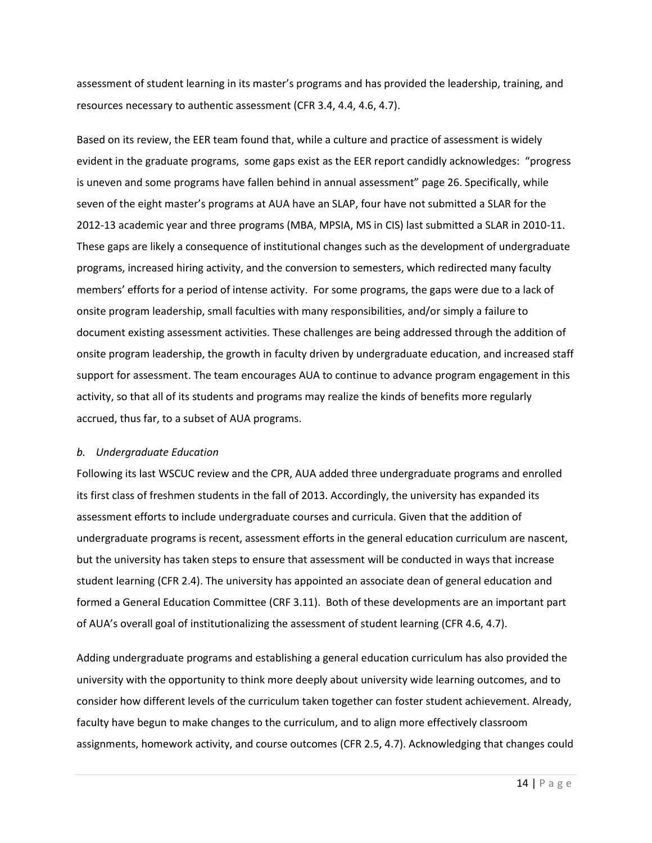assessment of student learning in its master's programs and has provided the leadership, training, and resources necessary to authentic assessment (CFR 3.4, 4.4, 4.6, 4.7).

Based on its review, the EER team found that, while a culture and practice of assessment is widely evident in the graduate programs, some gaps exist as the EER report candidly acknowledges: "progress is uneven and some programs have fallen behind in annual assessment" page 26. Specifically, while seven of the eight master's programs at AUA have an SLAP, four have not submitted a SLAR for the 2012-13 academic year and three programs (MBA, MPSIA, MS in CIS) last submitted a SLAR in 2010-11. These gaps are likely a consequence of institutional changes such as the development of undergraduate programs, increased hiring activity, and the conversion to semesters, which redirected many faculty members' efforts for a period of intense activity. For some programs, the gaps were due to a lack of onsite program leadership, small faculties with many responsibilities, and/or simply a failure to document existing assessment activities. These challenges are being addressed through the addition of onsite program leadership, the growth in faculty driven by undergraduate education, and increased staff support for assessment. The team encourages AUA to continue to advance program engagement in this activity, so that all of its students and programs may realize the kinds of benefits more regularly accrued, thus far, to a subset of AUA programs.

#### *b. Undergraduate Education*

Following its last WSCUC review and the CPR, AUA added three undergraduate programs and enrolled its first class of freshmen students in the fall of 2013. Accordingly, the university has expanded its assessment efforts to include undergraduate courses and curricula. Given that the addition of undergraduate programs is recent, assessment efforts in the general education curriculum are nascent, but the university has taken steps to ensure that assessment will be conducted in ways that increase student learning (CFR 2.4). The university has appointed an associate dean of general education and formed a General Education Committee (CRF 3.11). Both of these developments are an important part of AUA's overall goal of institutionalizing the assessment of student learning (CFR 4.6, 4.7).

Adding undergraduate programs and establishing a general education curriculum has also provided the university with the opportunity to think more deeply about university wide learning outcomes, and to consider how different levels of the curriculum taken together can foster student achievement. Already, faculty have begun to make changes to the curriculum, and to align more effectively classroom assignments, homework activity, and course outcomes (CFR 2.5, 4.7). Acknowledging that changes could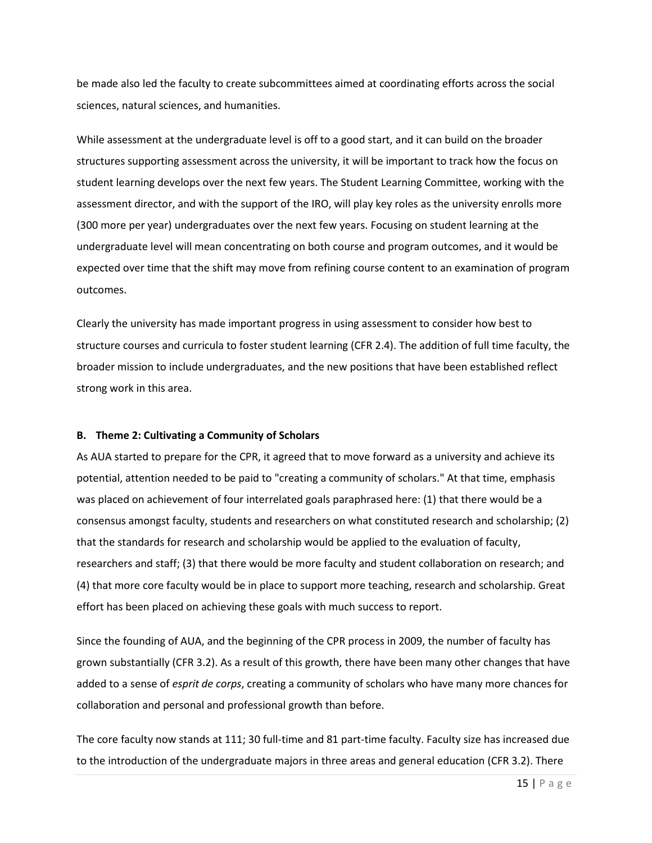be made also led the faculty to create subcommittees aimed at coordinating efforts across the social sciences, natural sciences, and humanities.

While assessment at the undergraduate level is off to a good start, and it can build on the broader structures supporting assessment across the university, it will be important to track how the focus on student learning develops over the next few years. The Student Learning Committee, working with the assessment director, and with the support of the IRO, will play key roles as the university enrolls more (300 more per year) undergraduates over the next few years. Focusing on student learning at the undergraduate level will mean concentrating on both course and program outcomes, and it would be expected over time that the shift may move from refining course content to an examination of program outcomes.

Clearly the university has made important progress in using assessment to consider how best to structure courses and curricula to foster student learning (CFR 2.4). The addition of full time faculty, the broader mission to include undergraduates, and the new positions that have been established reflect strong work in this area.

#### **B. Theme 2: Cultivating a Community of Scholars**

As AUA started to prepare for the CPR, it agreed that to move forward as a university and achieve its potential, attention needed to be paid to "creating a community of scholars." At that time, emphasis was placed on achievement of four interrelated goals paraphrased here: (1) that there would be a consensus amongst faculty, students and researchers on what constituted research and scholarship; (2) that the standards for research and scholarship would be applied to the evaluation of faculty, researchers and staff; (3) that there would be more faculty and student collaboration on research; and (4) that more core faculty would be in place to support more teaching, research and scholarship. Great effort has been placed on achieving these goals with much success to report.

Since the founding of AUA, and the beginning of the CPR process in 2009, the number of faculty has grown substantially (CFR 3.2). As a result of this growth, there have been many other changes that have added to a sense of *esprit de corps*, creating a community of scholars who have many more chances for collaboration and personal and professional growth than before.

The core faculty now stands at 111; 30 full-time and 81 part-time faculty. Faculty size has increased due to the introduction of the undergraduate majors in three areas and general education (CFR 3.2). There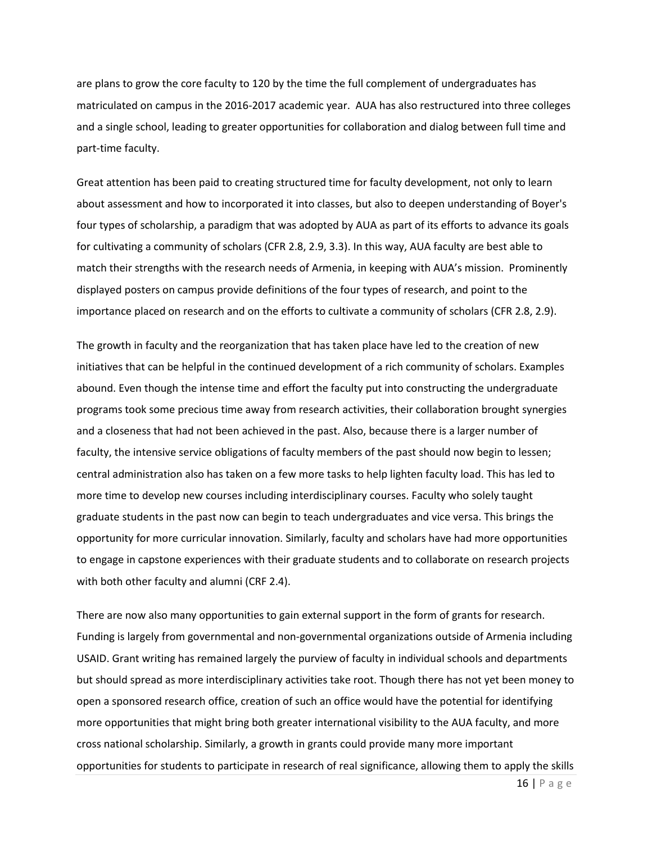are plans to grow the core faculty to 120 by the time the full complement of undergraduates has matriculated on campus in the 2016-2017 academic year. AUA has also restructured into three colleges and a single school, leading to greater opportunities for collaboration and dialog between full time and part-time faculty.

Great attention has been paid to creating structured time for faculty development, not only to learn about assessment and how to incorporated it into classes, but also to deepen understanding of Boyer's four types of scholarship, a paradigm that was adopted by AUA as part of its efforts to advance its goals for cultivating a community of scholars (CFR 2.8, 2.9, 3.3). In this way, AUA faculty are best able to match their strengths with the research needs of Armenia, in keeping with AUA's mission. Prominently displayed posters on campus provide definitions of the four types of research, and point to the importance placed on research and on the efforts to cultivate a community of scholars (CFR 2.8, 2.9).

The growth in faculty and the reorganization that has taken place have led to the creation of new initiatives that can be helpful in the continued development of a rich community of scholars. Examples abound. Even though the intense time and effort the faculty put into constructing the undergraduate programs took some precious time away from research activities, their collaboration brought synergies and a closeness that had not been achieved in the past. Also, because there is a larger number of faculty, the intensive service obligations of faculty members of the past should now begin to lessen; central administration also has taken on a few more tasks to help lighten faculty load. This has led to more time to develop new courses including interdisciplinary courses. Faculty who solely taught graduate students in the past now can begin to teach undergraduates and vice versa. This brings the opportunity for more curricular innovation. Similarly, faculty and scholars have had more opportunities to engage in capstone experiences with their graduate students and to collaborate on research projects with both other faculty and alumni (CRF 2.4).

There are now also many opportunities to gain external support in the form of grants for research. Funding is largely from governmental and non-governmental organizations outside of Armenia including USAID. Grant writing has remained largely the purview of faculty in individual schools and departments but should spread as more interdisciplinary activities take root. Though there has not yet been money to open a sponsored research office, creation of such an office would have the potential for identifying more opportunities that might bring both greater international visibility to the AUA faculty, and more cross national scholarship. Similarly, a growth in grants could provide many more important opportunities for students to participate in research of real significance, allowing them to apply the skills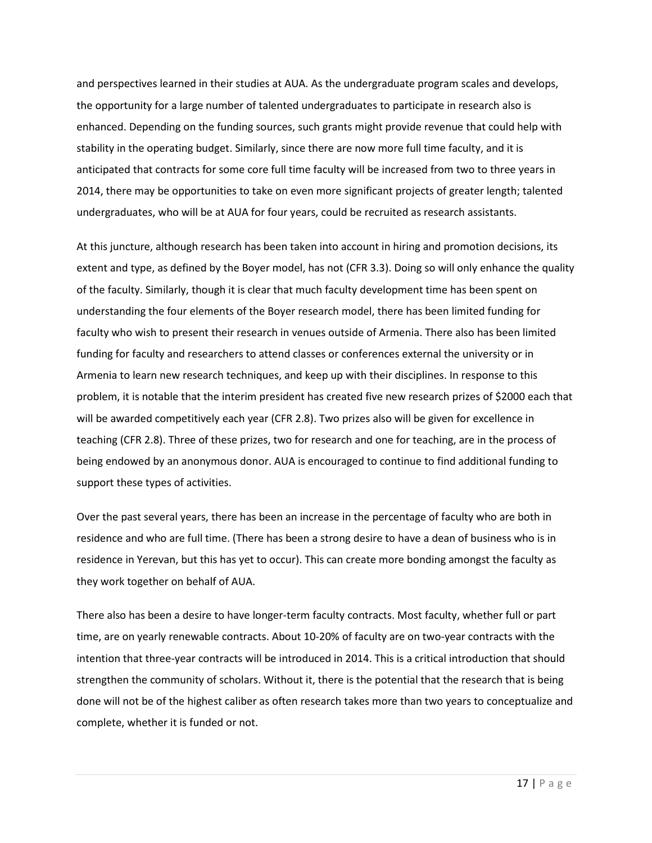and perspectives learned in their studies at AUA. As the undergraduate program scales and develops, the opportunity for a large number of talented undergraduates to participate in research also is enhanced. Depending on the funding sources, such grants might provide revenue that could help with stability in the operating budget. Similarly, since there are now more full time faculty, and it is anticipated that contracts for some core full time faculty will be increased from two to three years in 2014, there may be opportunities to take on even more significant projects of greater length; talented undergraduates, who will be at AUA for four years, could be recruited as research assistants.

At this juncture, although research has been taken into account in hiring and promotion decisions, its extent and type, as defined by the Boyer model, has not (CFR 3.3). Doing so will only enhance the quality of the faculty. Similarly, though it is clear that much faculty development time has been spent on understanding the four elements of the Boyer research model, there has been limited funding for faculty who wish to present their research in venues outside of Armenia. There also has been limited funding for faculty and researchers to attend classes or conferences external the university or in Armenia to learn new research techniques, and keep up with their disciplines. In response to this problem, it is notable that the interim president has created five new research prizes of \$2000 each that will be awarded competitively each year (CFR 2.8). Two prizes also will be given for excellence in teaching (CFR 2.8). Three of these prizes, two for research and one for teaching, are in the process of being endowed by an anonymous donor. AUA is encouraged to continue to find additional funding to support these types of activities.

Over the past several years, there has been an increase in the percentage of faculty who are both in residence and who are full time. (There has been a strong desire to have a dean of business who is in residence in Yerevan, but this has yet to occur). This can create more bonding amongst the faculty as they work together on behalf of AUA.

There also has been a desire to have longer-term faculty contracts. Most faculty, whether full or part time, are on yearly renewable contracts. About 10-20% of faculty are on two-year contracts with the intention that three-year contracts will be introduced in 2014. This is a critical introduction that should strengthen the community of scholars. Without it, there is the potential that the research that is being done will not be of the highest caliber as often research takes more than two years to conceptualize and complete, whether it is funded or not.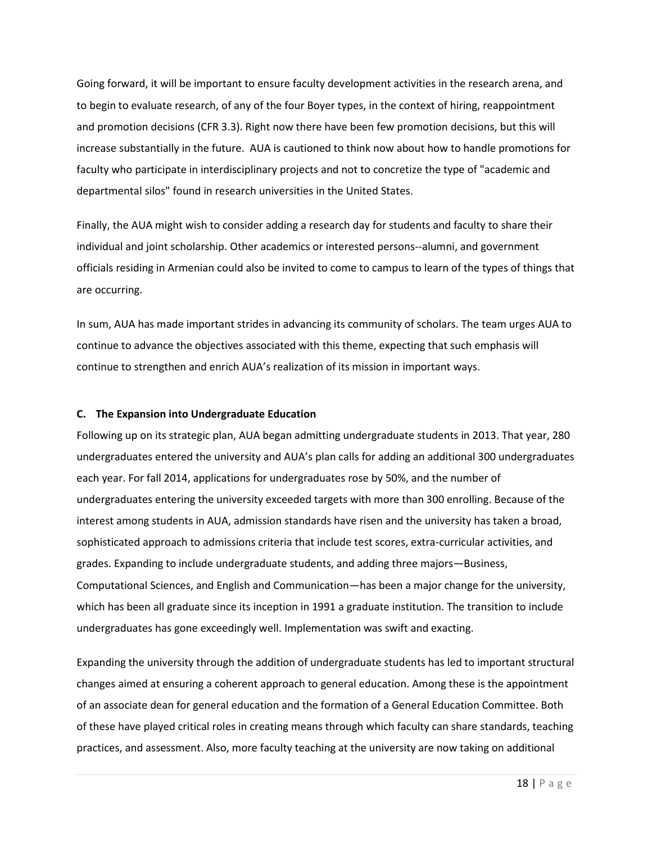Going forward, it will be important to ensure faculty development activities in the research arena, and to begin to evaluate research, of any of the four Boyer types, in the context of hiring, reappointment and promotion decisions (CFR 3.3). Right now there have been few promotion decisions, but this will increase substantially in the future. AUA is cautioned to think now about how to handle promotions for faculty who participate in interdisciplinary projects and not to concretize the type of "academic and departmental silos" found in research universities in the United States.

Finally, the AUA might wish to consider adding a research day for students and faculty to share their individual and joint scholarship. Other academics or interested persons--alumni, and government officials residing in Armenian could also be invited to come to campus to learn of the types of things that are occurring.

In sum, AUA has made important strides in advancing its community of scholars. The team urges AUA to continue to advance the objectives associated with this theme, expecting that such emphasis will continue to strengthen and enrich AUA's realization of its mission in important ways.

#### **C. The Expansion into Undergraduate Education**

Following up on its strategic plan, AUA began admitting undergraduate students in 2013. That year, 280 undergraduates entered the university and AUA's plan calls for adding an additional 300 undergraduates each year. For fall 2014, applications for undergraduates rose by 50%, and the number of undergraduates entering the university exceeded targets with more than 300 enrolling. Because of the interest among students in AUA, admission standards have risen and the university has taken a broad, sophisticated approach to admissions criteria that include test scores, extra-curricular activities, and grades. Expanding to include undergraduate students, and adding three majors—Business, Computational Sciences, and English and Communication—has been a major change for the university, which has been all graduate since its inception in 1991 a graduate institution. The transition to include undergraduates has gone exceedingly well. Implementation was swift and exacting.

Expanding the university through the addition of undergraduate students has led to important structural changes aimed at ensuring a coherent approach to general education. Among these is the appointment of an associate dean for general education and the formation of a General Education Committee. Both of these have played critical roles in creating means through which faculty can share standards, teaching practices, and assessment. Also, more faculty teaching at the university are now taking on additional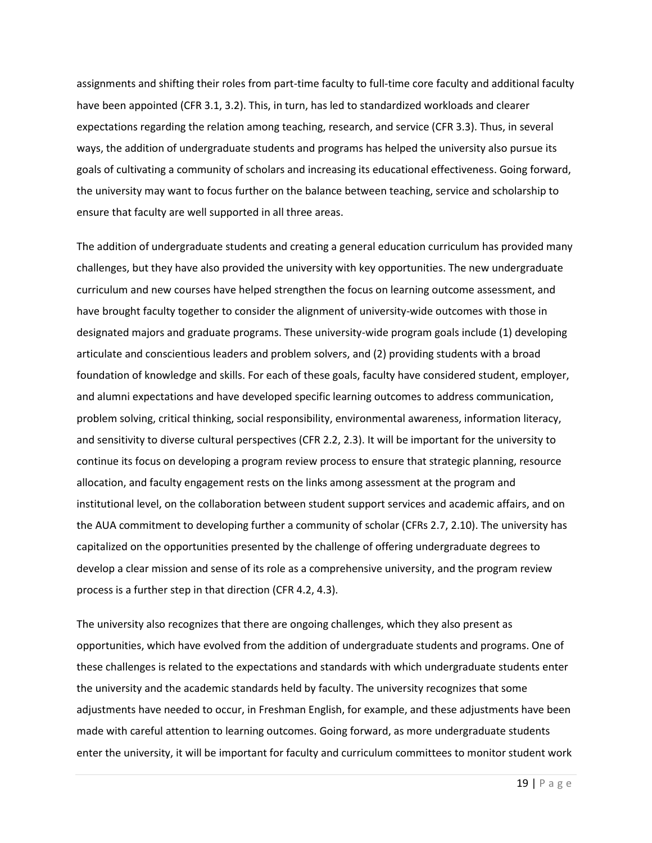assignments and shifting their roles from part-time faculty to full-time core faculty and additional faculty have been appointed (CFR 3.1, 3.2). This, in turn, has led to standardized workloads and clearer expectations regarding the relation among teaching, research, and service (CFR 3.3). Thus, in several ways, the addition of undergraduate students and programs has helped the university also pursue its goals of cultivating a community of scholars and increasing its educational effectiveness. Going forward, the university may want to focus further on the balance between teaching, service and scholarship to ensure that faculty are well supported in all three areas.

The addition of undergraduate students and creating a general education curriculum has provided many challenges, but they have also provided the university with key opportunities. The new undergraduate curriculum and new courses have helped strengthen the focus on learning outcome assessment, and have brought faculty together to consider the alignment of university-wide outcomes with those in designated majors and graduate programs. These university-wide program goals include (1) developing articulate and conscientious leaders and problem solvers, and (2) providing students with a broad foundation of knowledge and skills. For each of these goals, faculty have considered student, employer, and alumni expectations and have developed specific learning outcomes to address communication, problem solving, critical thinking, social responsibility, environmental awareness, information literacy, and sensitivity to diverse cultural perspectives (CFR 2.2, 2.3). It will be important for the university to continue its focus on developing a program review process to ensure that strategic planning, resource allocation, and faculty engagement rests on the links among assessment at the program and institutional level, on the collaboration between student support services and academic affairs, and on the AUA commitment to developing further a community of scholar (CFRs 2.7, 2.10). The university has capitalized on the opportunities presented by the challenge of offering undergraduate degrees to develop a clear mission and sense of its role as a comprehensive university, and the program review process is a further step in that direction (CFR 4.2, 4.3).

The university also recognizes that there are ongoing challenges, which they also present as opportunities, which have evolved from the addition of undergraduate students and programs. One of these challenges is related to the expectations and standards with which undergraduate students enter the university and the academic standards held by faculty. The university recognizes that some adjustments have needed to occur, in Freshman English, for example, and these adjustments have been made with careful attention to learning outcomes. Going forward, as more undergraduate students enter the university, it will be important for faculty and curriculum committees to monitor student work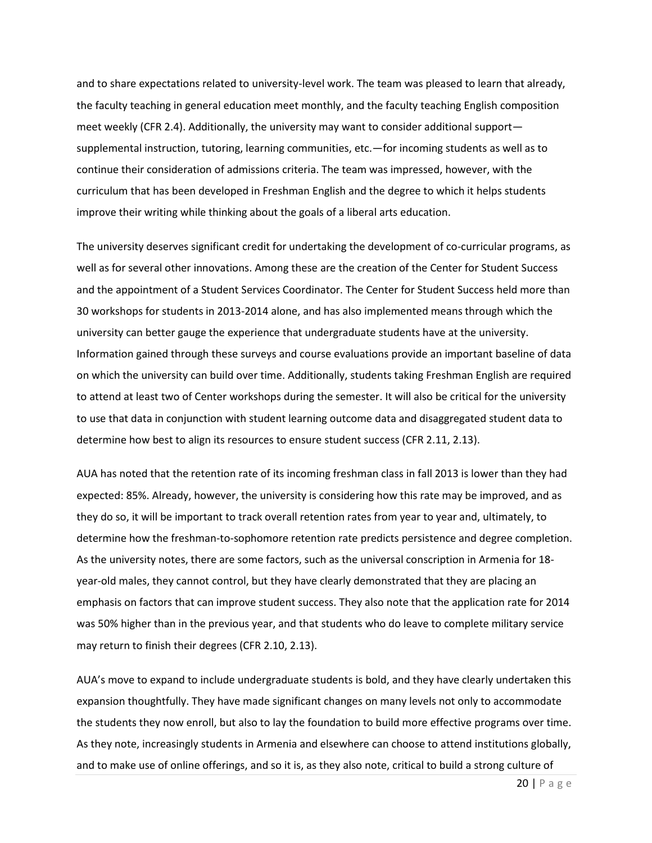and to share expectations related to university-level work. The team was pleased to learn that already, the faculty teaching in general education meet monthly, and the faculty teaching English composition meet weekly (CFR 2.4). Additionally, the university may want to consider additional support supplemental instruction, tutoring, learning communities, etc.—for incoming students as well as to continue their consideration of admissions criteria. The team was impressed, however, with the curriculum that has been developed in Freshman English and the degree to which it helps students improve their writing while thinking about the goals of a liberal arts education.

The university deserves significant credit for undertaking the development of co-curricular programs, as well as for several other innovations. Among these are the creation of the Center for Student Success and the appointment of a Student Services Coordinator. The Center for Student Success held more than 30 workshops for students in 2013-2014 alone, and has also implemented means through which the university can better gauge the experience that undergraduate students have at the university. Information gained through these surveys and course evaluations provide an important baseline of data on which the university can build over time. Additionally, students taking Freshman English are required to attend at least two of Center workshops during the semester. It will also be critical for the university to use that data in conjunction with student learning outcome data and disaggregated student data to determine how best to align its resources to ensure student success (CFR 2.11, 2.13).

AUA has noted that the retention rate of its incoming freshman class in fall 2013 is lower than they had expected: 85%. Already, however, the university is considering how this rate may be improved, and as they do so, it will be important to track overall retention rates from year to year and, ultimately, to determine how the freshman-to-sophomore retention rate predicts persistence and degree completion. As the university notes, there are some factors, such as the universal conscription in Armenia for 18 year-old males, they cannot control, but they have clearly demonstrated that they are placing an emphasis on factors that can improve student success. They also note that the application rate for 2014 was 50% higher than in the previous year, and that students who do leave to complete military service may return to finish their degrees (CFR 2.10, 2.13).

AUA's move to expand to include undergraduate students is bold, and they have clearly undertaken this expansion thoughtfully. They have made significant changes on many levels not only to accommodate the students they now enroll, but also to lay the foundation to build more effective programs over time. As they note, increasingly students in Armenia and elsewhere can choose to attend institutions globally, and to make use of online offerings, and so it is, as they also note, critical to build a strong culture of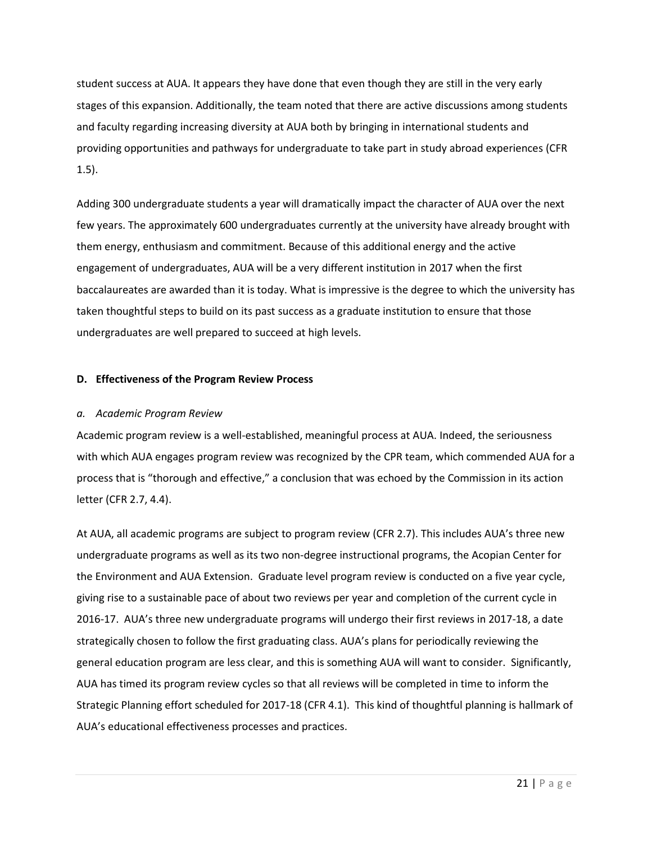student success at AUA. It appears they have done that even though they are still in the very early stages of this expansion. Additionally, the team noted that there are active discussions among students and faculty regarding increasing diversity at AUA both by bringing in international students and providing opportunities and pathways for undergraduate to take part in study abroad experiences (CFR 1.5).

Adding 300 undergraduate students a year will dramatically impact the character of AUA over the next few years. The approximately 600 undergraduates currently at the university have already brought with them energy, enthusiasm and commitment. Because of this additional energy and the active engagement of undergraduates, AUA will be a very different institution in 2017 when the first baccalaureates are awarded than it is today. What is impressive is the degree to which the university has taken thoughtful steps to build on its past success as a graduate institution to ensure that those undergraduates are well prepared to succeed at high levels.

## **D. Effectiveness of the Program Review Process**

## *a. Academic Program Review*

Academic program review is a well-established, meaningful process at AUA. Indeed, the seriousness with which AUA engages program review was recognized by the CPR team, which commended AUA for a process that is "thorough and effective," a conclusion that was echoed by the Commission in its action letter (CFR 2.7, 4.4).

At AUA, all academic programs are subject to program review (CFR 2.7). This includes AUA's three new undergraduate programs as well as its two non-degree instructional programs, the Acopian Center for the Environment and AUA Extension. Graduate level program review is conducted on a five year cycle, giving rise to a sustainable pace of about two reviews per year and completion of the current cycle in 2016-17. AUA's three new undergraduate programs will undergo their first reviews in 2017-18, a date strategically chosen to follow the first graduating class. AUA's plans for periodically reviewing the general education program are less clear, and this is something AUA will want to consider. Significantly, AUA has timed its program review cycles so that all reviews will be completed in time to inform the Strategic Planning effort scheduled for 2017-18 (CFR 4.1). This kind of thoughtful planning is hallmark of AUA's educational effectiveness processes and practices.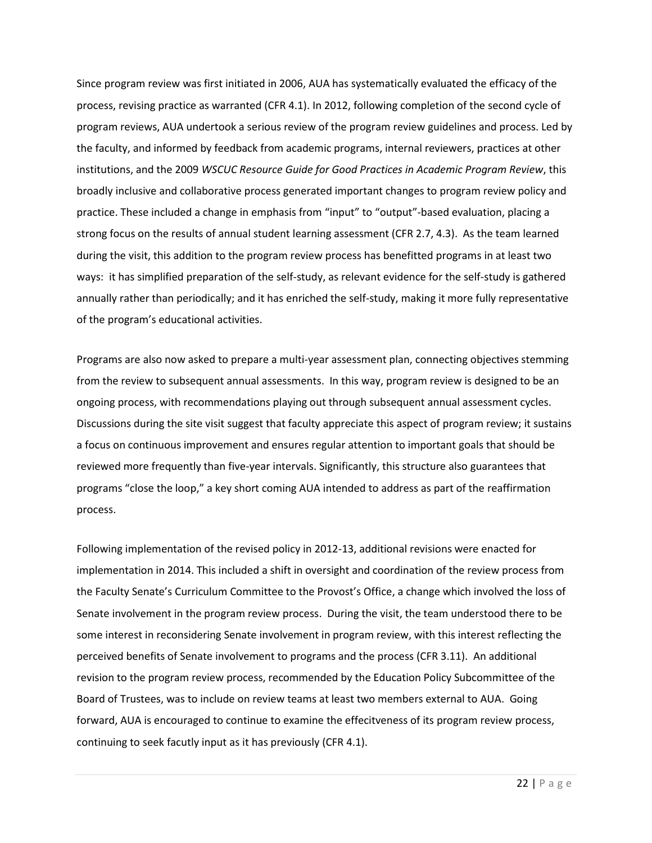Since program review was first initiated in 2006, AUA has systematically evaluated the efficacy of the process, revising practice as warranted (CFR 4.1). In 2012, following completion of the second cycle of program reviews, AUA undertook a serious review of the program review guidelines and process. Led by the faculty, and informed by feedback from academic programs, internal reviewers, practices at other institutions, and the 2009 *WSCUC Resource Guide for Good Practices in Academic Program Review*, this broadly inclusive and collaborative process generated important changes to program review policy and practice. These included a change in emphasis from "input" to "output"-based evaluation, placing a strong focus on the results of annual student learning assessment (CFR 2.7, 4.3). As the team learned during the visit, this addition to the program review process has benefitted programs in at least two ways: it has simplified preparation of the self-study, as relevant evidence for the self-study is gathered annually rather than periodically; and it has enriched the self-study, making it more fully representative of the program's educational activities.

Programs are also now asked to prepare a multi-year assessment plan, connecting objectives stemming from the review to subsequent annual assessments. In this way, program review is designed to be an ongoing process, with recommendations playing out through subsequent annual assessment cycles. Discussions during the site visit suggest that faculty appreciate this aspect of program review; it sustains a focus on continuous improvement and ensures regular attention to important goals that should be reviewed more frequently than five-year intervals. Significantly, this structure also guarantees that programs "close the loop," a key short coming AUA intended to address as part of the reaffirmation process.

Following implementation of the revised policy in 2012-13, additional revisions were enacted for implementation in 2014. This included a shift in oversight and coordination of the review process from the Faculty Senate's Curriculum Committee to the Provost's Office, a change which involved the loss of Senate involvement in the program review process. During the visit, the team understood there to be some interest in reconsidering Senate involvement in program review, with this interest reflecting the perceived benefits of Senate involvement to programs and the process (CFR 3.11). An additional revision to the program review process, recommended by the Education Policy Subcommittee of the Board of Trustees, was to include on review teams at least two members external to AUA. Going forward, AUA is encouraged to continue to examine the effecitveness of its program review process, continuing to seek facutly input as it has previously (CFR 4.1).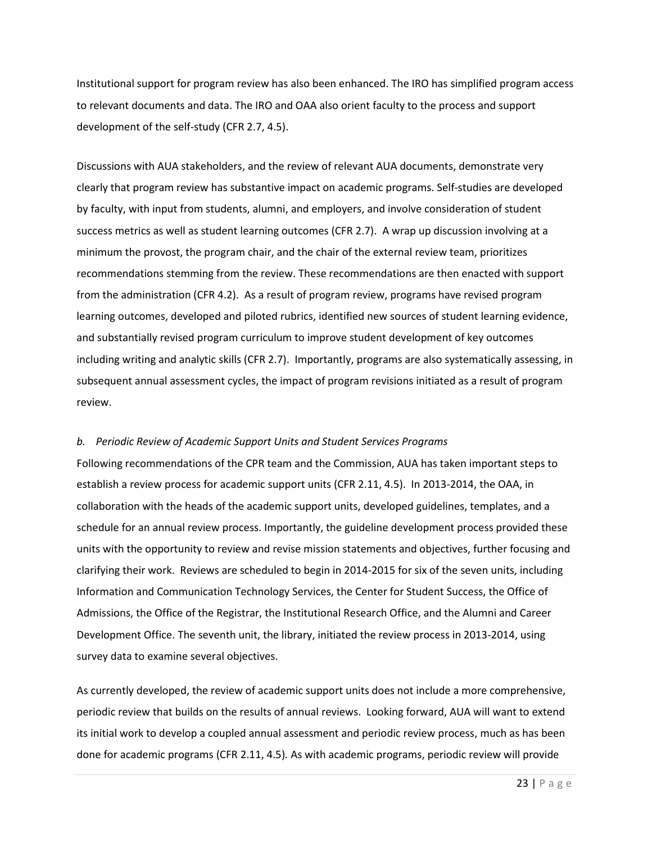Institutional support for program review has also been enhanced. The IRO has simplified program access to relevant documents and data. The IRO and OAA also orient faculty to the process and support development of the self-study (CFR 2.7, 4.5).

Discussions with AUA stakeholders, and the review of relevant AUA documents, demonstrate very clearly that program review has substantive impact on academic programs. Self-studies are developed by faculty, with input from students, alumni, and employers, and involve consideration of student success metrics as well as student learning outcomes (CFR 2.7). A wrap up discussion involving at a minimum the provost, the program chair, and the chair of the external review team, prioritizes recommendations stemming from the review. These recommendations are then enacted with support from the administration (CFR 4.2). As a result of program review, programs have revised program learning outcomes, developed and piloted rubrics, identified new sources of student learning evidence, and substantially revised program curriculum to improve student development of key outcomes including writing and analytic skills (CFR 2.7). Importantly, programs are also systematically assessing, in subsequent annual assessment cycles, the impact of program revisions initiated as a result of program review.

## *b. Periodic Review of Academic Support Units and Student Services Programs*

Following recommendations of the CPR team and the Commission, AUA has taken important steps to establish a review process for academic support units (CFR 2.11, 4.5). In 2013-2014, the OAA, in collaboration with the heads of the academic support units, developed guidelines, templates, and a schedule for an annual review process. Importantly, the guideline development process provided these units with the opportunity to review and revise mission statements and objectives, further focusing and clarifying their work. Reviews are scheduled to begin in 2014-2015 for six of the seven units, including Information and Communication Technology Services, the Center for Student Success, the Office of Admissions, the Office of the Registrar, the Institutional Research Office, and the Alumni and Career Development Office. The seventh unit, the library, initiated the review process in 2013-2014, using survey data to examine several objectives.

As currently developed, the review of academic support units does not include a more comprehensive, periodic review that builds on the results of annual reviews. Looking forward, AUA will want to extend its initial work to develop a coupled annual assessment and periodic review process, much as has been done for academic programs (CFR 2.11, 4.5)*.* As with academic programs, periodic review will provide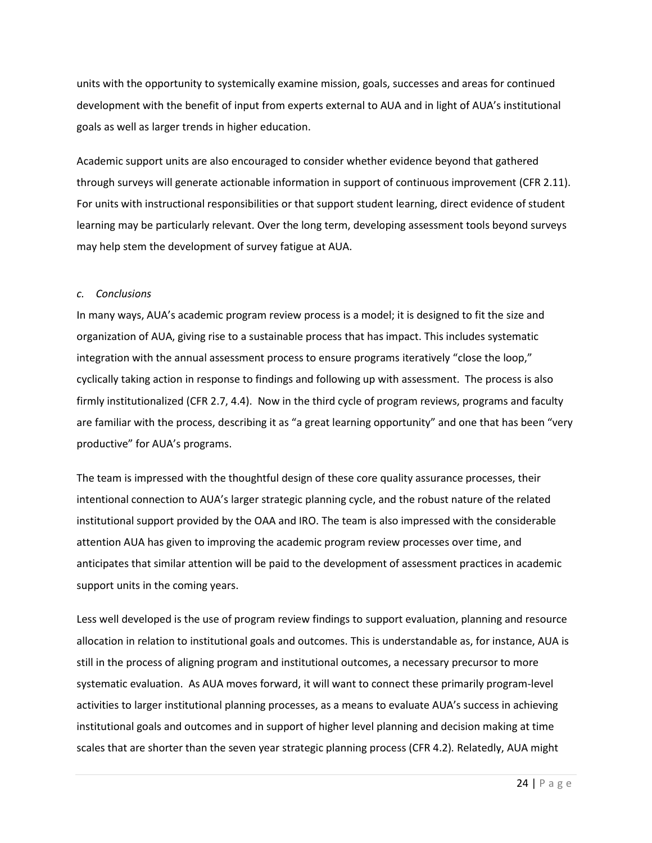units with the opportunity to systemically examine mission, goals, successes and areas for continued development with the benefit of input from experts external to AUA and in light of AUA's institutional goals as well as larger trends in higher education.

Academic support units are also encouraged to consider whether evidence beyond that gathered through surveys will generate actionable information in support of continuous improvement (CFR 2.11). For units with instructional responsibilities or that support student learning, direct evidence of student learning may be particularly relevant. Over the long term, developing assessment tools beyond surveys may help stem the development of survey fatigue at AUA.

#### *c. Conclusions*

In many ways, AUA's academic program review process is a model; it is designed to fit the size and organization of AUA, giving rise to a sustainable process that has impact. This includes systematic integration with the annual assessment process to ensure programs iteratively "close the loop," cyclically taking action in response to findings and following up with assessment. The process is also firmly institutionalized (CFR 2.7, 4.4). Now in the third cycle of program reviews, programs and faculty are familiar with the process, describing it as "a great learning opportunity" and one that has been "very productive" for AUA's programs.

The team is impressed with the thoughtful design of these core quality assurance processes, their intentional connection to AUA's larger strategic planning cycle, and the robust nature of the related institutional support provided by the OAA and IRO. The team is also impressed with the considerable attention AUA has given to improving the academic program review processes over time, and anticipates that similar attention will be paid to the development of assessment practices in academic support units in the coming years.

Less well developed is the use of program review findings to support evaluation, planning and resource allocation in relation to institutional goals and outcomes. This is understandable as, for instance, AUA is still in the process of aligning program and institutional outcomes, a necessary precursor to more systematic evaluation. As AUA moves forward, it will want to connect these primarily program-level activities to larger institutional planning processes, as a means to evaluate AUA's success in achieving institutional goals and outcomes and in support of higher level planning and decision making at time scales that are shorter than the seven year strategic planning process (CFR 4.2)*.* Relatedly, AUA might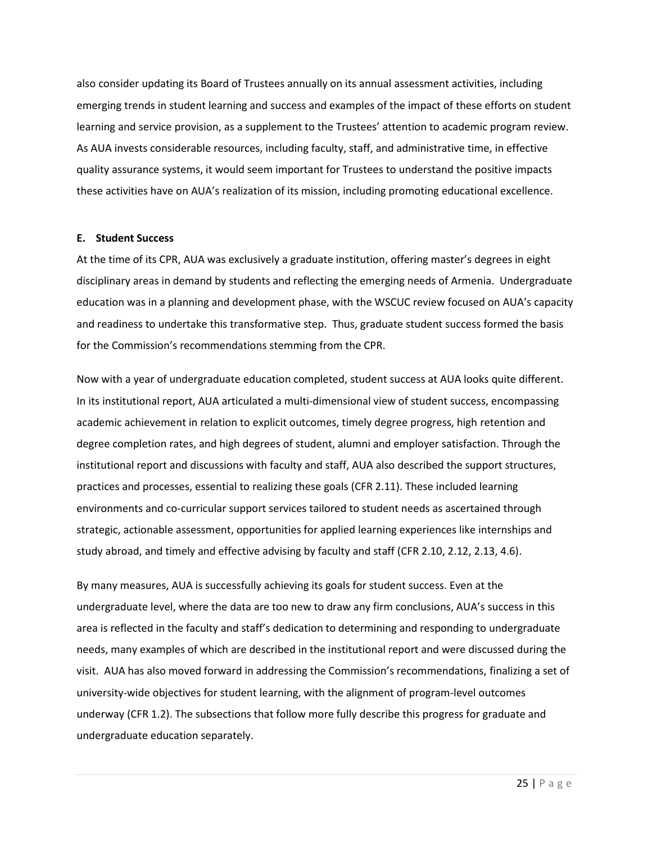also consider updating its Board of Trustees annually on its annual assessment activities, including emerging trends in student learning and success and examples of the impact of these efforts on student learning and service provision, as a supplement to the Trustees' attention to academic program review. As AUA invests considerable resources, including faculty, staff, and administrative time, in effective quality assurance systems, it would seem important for Trustees to understand the positive impacts these activities have on AUA's realization of its mission, including promoting educational excellence.

#### **E. Student Success**

At the time of its CPR, AUA was exclusively a graduate institution, offering master's degrees in eight disciplinary areas in demand by students and reflecting the emerging needs of Armenia. Undergraduate education was in a planning and development phase, with the WSCUC review focused on AUA's capacity and readiness to undertake this transformative step. Thus, graduate student success formed the basis for the Commission's recommendations stemming from the CPR.

Now with a year of undergraduate education completed, student success at AUA looks quite different. In its institutional report, AUA articulated a multi-dimensional view of student success, encompassing academic achievement in relation to explicit outcomes, timely degree progress, high retention and degree completion rates, and high degrees of student, alumni and employer satisfaction. Through the institutional report and discussions with faculty and staff, AUA also described the support structures, practices and processes, essential to realizing these goals (CFR 2.11). These included learning environments and co-curricular support services tailored to student needs as ascertained through strategic, actionable assessment, opportunities for applied learning experiences like internships and study abroad, and timely and effective advising by faculty and staff (CFR 2.10, 2.12, 2.13, 4.6).

By many measures, AUA is successfully achieving its goals for student success. Even at the undergraduate level, where the data are too new to draw any firm conclusions, AUA's success in this area is reflected in the faculty and staff's dedication to determining and responding to undergraduate needs, many examples of which are described in the institutional report and were discussed during the visit. AUA has also moved forward in addressing the Commission's recommendations, finalizing a set of university-wide objectives for student learning, with the alignment of program-level outcomes underway (CFR 1.2). The subsections that follow more fully describe this progress for graduate and undergraduate education separately.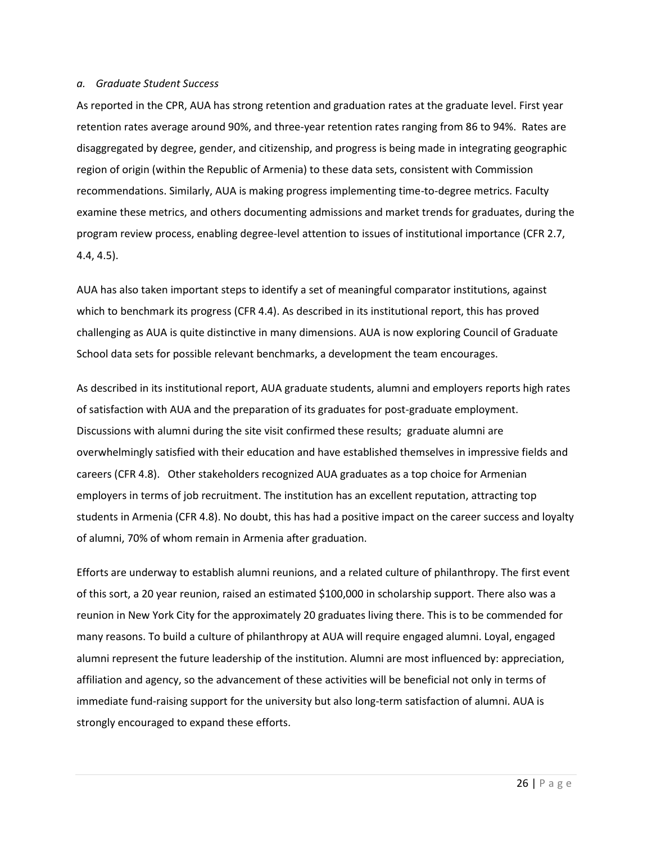#### *a. Graduate Student Success*

As reported in the CPR, AUA has strong retention and graduation rates at the graduate level. First year retention rates average around 90%, and three-year retention rates ranging from 86 to 94%. Rates are disaggregated by degree, gender, and citizenship, and progress is being made in integrating geographic region of origin (within the Republic of Armenia) to these data sets, consistent with Commission recommendations. Similarly, AUA is making progress implementing time-to-degree metrics. Faculty examine these metrics, and others documenting admissions and market trends for graduates, during the program review process, enabling degree-level attention to issues of institutional importance (CFR 2.7, 4.4, 4.5).

AUA has also taken important steps to identify a set of meaningful comparator institutions, against which to benchmark its progress (CFR 4.4). As described in its institutional report, this has proved challenging as AUA is quite distinctive in many dimensions. AUA is now exploring Council of Graduate School data sets for possible relevant benchmarks, a development the team encourages.

As described in its institutional report, AUA graduate students, alumni and employers reports high rates of satisfaction with AUA and the preparation of its graduates for post-graduate employment. Discussions with alumni during the site visit confirmed these results; graduate alumni are overwhelmingly satisfied with their education and have established themselves in impressive fields and careers (CFR 4.8). Other stakeholders recognized AUA graduates as a top choice for Armenian employers in terms of job recruitment. The institution has an excellent reputation, attracting top students in Armenia (CFR 4.8). No doubt, this has had a positive impact on the career success and loyalty of alumni, 70% of whom remain in Armenia after graduation.

Efforts are underway to establish alumni reunions, and a related culture of philanthropy. The first event of this sort, a 20 year reunion, raised an estimated \$100,000 in scholarship support. There also was a reunion in New York City for the approximately 20 graduates living there. This is to be commended for many reasons. To build a culture of philanthropy at AUA will require engaged alumni. Loyal, engaged alumni represent the future leadership of the institution. Alumni are most influenced by: appreciation, affiliation and agency, so the advancement of these activities will be beneficial not only in terms of immediate fund-raising support for the university but also long-term satisfaction of alumni. AUA is strongly encouraged to expand these efforts.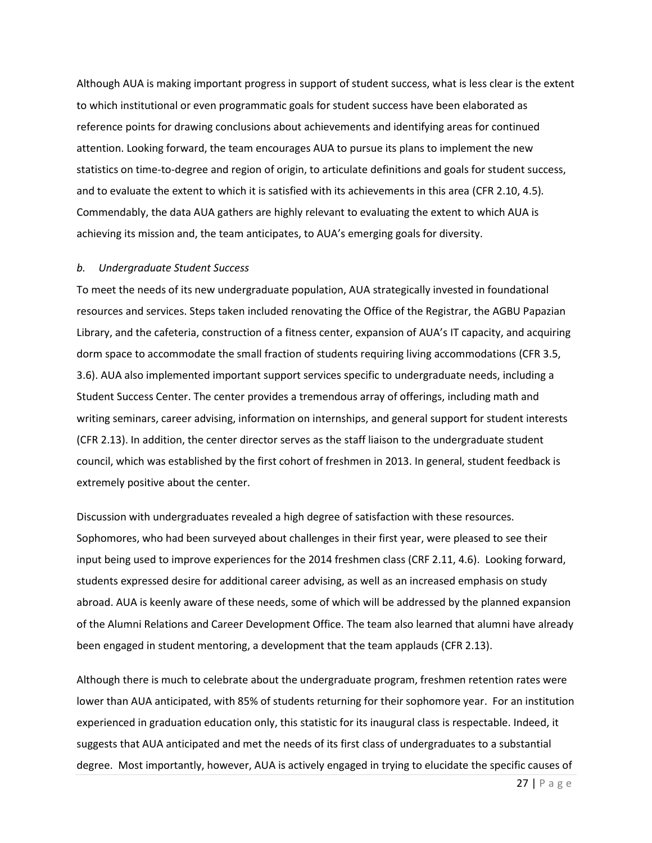Although AUA is making important progress in support of student success, what is less clear is the extent to which institutional or even programmatic goals for student success have been elaborated as reference points for drawing conclusions about achievements and identifying areas for continued attention. Looking forward, the team encourages AUA to pursue its plans to implement the new statistics on time-to-degree and region of origin, to articulate definitions and goals for student success, and to evaluate the extent to which it is satisfied with its achievements in this area (CFR 2.10, 4.5)*.*  Commendably, the data AUA gathers are highly relevant to evaluating the extent to which AUA is achieving its mission and, the team anticipates, to AUA's emerging goals for diversity.

#### *b. Undergraduate Student Success*

To meet the needs of its new undergraduate population, AUA strategically invested in foundational resources and services. Steps taken included renovating the Office of the Registrar, the AGBU Papazian Library, and the cafeteria, construction of a fitness center, expansion of AUA's IT capacity, and acquiring dorm space to accommodate the small fraction of students requiring living accommodations (CFR 3.5, 3.6). AUA also implemented important support services specific to undergraduate needs, including a Student Success Center. The center provides a tremendous array of offerings, including math and writing seminars, career advising, information on internships, and general support for student interests (CFR 2.13). In addition, the center director serves as the staff liaison to the undergraduate student council, which was established by the first cohort of freshmen in 2013. In general, student feedback is extremely positive about the center.

Discussion with undergraduates revealed a high degree of satisfaction with these resources. Sophomores, who had been surveyed about challenges in their first year, were pleased to see their input being used to improve experiences for the 2014 freshmen class (CRF 2.11, 4.6). Looking forward, students expressed desire for additional career advising, as well as an increased emphasis on study abroad. AUA is keenly aware of these needs, some of which will be addressed by the planned expansion of the Alumni Relations and Career Development Office. The team also learned that alumni have already been engaged in student mentoring, a development that the team applauds (CFR 2.13).

Although there is much to celebrate about the undergraduate program, freshmen retention rates were lower than AUA anticipated, with 85% of students returning for their sophomore year. For an institution experienced in graduation education only, this statistic for its inaugural class is respectable. Indeed, it suggests that AUA anticipated and met the needs of its first class of undergraduates to a substantial degree. Most importantly, however, AUA is actively engaged in trying to elucidate the specific causes of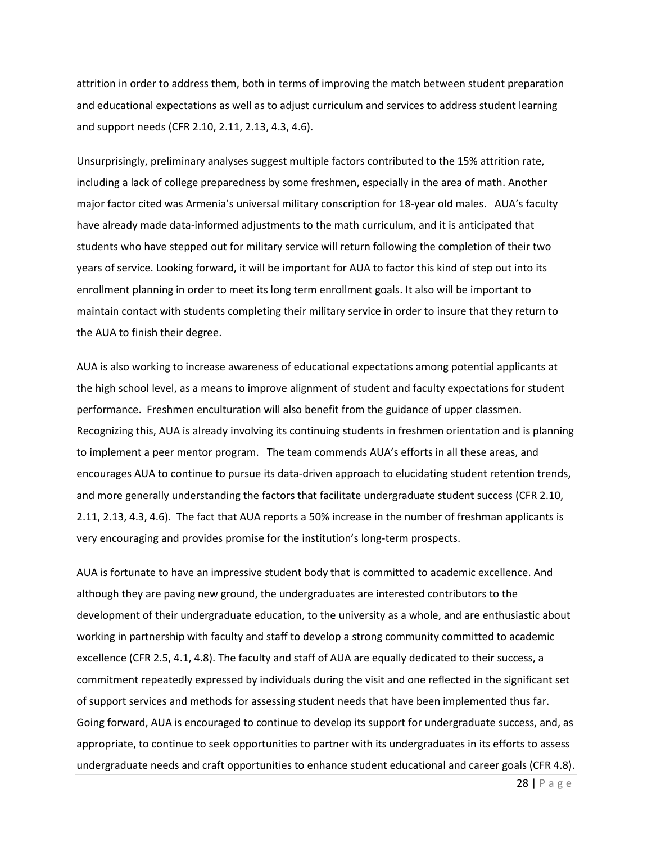attrition in order to address them, both in terms of improving the match between student preparation and educational expectations as well as to adjust curriculum and services to address student learning and support needs (CFR 2.10, 2.11, 2.13, 4.3, 4.6).

Unsurprisingly, preliminary analyses suggest multiple factors contributed to the 15% attrition rate, including a lack of college preparedness by some freshmen, especially in the area of math. Another major factor cited was Armenia's universal military conscription for 18-year old males. AUA's faculty have already made data-informed adjustments to the math curriculum, and it is anticipated that students who have stepped out for military service will return following the completion of their two years of service. Looking forward, it will be important for AUA to factor this kind of step out into its enrollment planning in order to meet its long term enrollment goals. It also will be important to maintain contact with students completing their military service in order to insure that they return to the AUA to finish their degree.

AUA is also working to increase awareness of educational expectations among potential applicants at the high school level, as a means to improve alignment of student and faculty expectations for student performance. Freshmen enculturation will also benefit from the guidance of upper classmen. Recognizing this, AUA is already involving its continuing students in freshmen orientation and is planning to implement a peer mentor program. The team commends AUA's efforts in all these areas, and encourages AUA to continue to pursue its data-driven approach to elucidating student retention trends, and more generally understanding the factors that facilitate undergraduate student success (CFR 2.10, 2.11, 2.13, 4.3, 4.6). The fact that AUA reports a 50% increase in the number of freshman applicants is very encouraging and provides promise for the institution's long-term prospects.

AUA is fortunate to have an impressive student body that is committed to academic excellence. And although they are paving new ground, the undergraduates are interested contributors to the development of their undergraduate education, to the university as a whole, and are enthusiastic about working in partnership with faculty and staff to develop a strong community committed to academic excellence (CFR 2.5, 4.1, 4.8). The faculty and staff of AUA are equally dedicated to their success, a commitment repeatedly expressed by individuals during the visit and one reflected in the significant set of support services and methods for assessing student needs that have been implemented thus far. Going forward, AUA is encouraged to continue to develop its support for undergraduate success, and, as appropriate, to continue to seek opportunities to partner with its undergraduates in its efforts to assess undergraduate needs and craft opportunities to enhance student educational and career goals (CFR 4.8).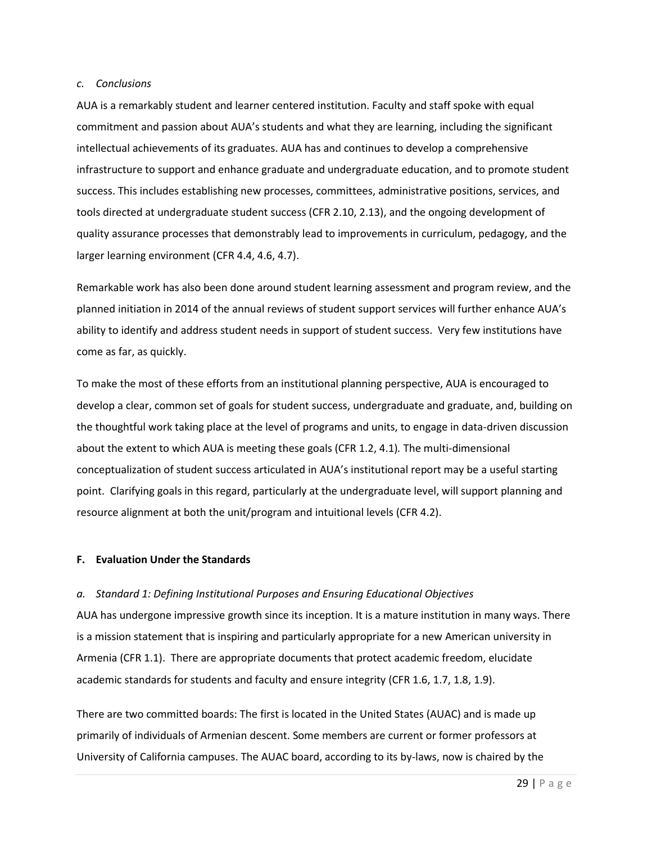#### *c. Conclusions*

AUA is a remarkably student and learner centered institution. Faculty and staff spoke with equal commitment and passion about AUA's students and what they are learning, including the significant intellectual achievements of its graduates. AUA has and continues to develop a comprehensive infrastructure to support and enhance graduate and undergraduate education, and to promote student success. This includes establishing new processes, committees, administrative positions, services, and tools directed at undergraduate student success (CFR 2.10, 2.13), and the ongoing development of quality assurance processes that demonstrably lead to improvements in curriculum, pedagogy, and the larger learning environment (CFR 4.4, 4.6, 4.7).

Remarkable work has also been done around student learning assessment and program review, and the planned initiation in 2014 of the annual reviews of student support services will further enhance AUA's ability to identify and address student needs in support of student success. Very few institutions have come as far, as quickly.

To make the most of these efforts from an institutional planning perspective, AUA is encouraged to develop a clear, common set of goals for student success, undergraduate and graduate, and, building on the thoughtful work taking place at the level of programs and units, to engage in data-driven discussion about the extent to which AUA is meeting these goals (CFR 1.2, 4.1)*.* The multi-dimensional conceptualization of student success articulated in AUA's institutional report may be a useful starting point. Clarifying goals in this regard, particularly at the undergraduate level, will support planning and resource alignment at both the unit/program and intuitional levels (CFR 4.2).

#### **F. Evaluation Under the Standards**

## *a. Standard 1: Defining Institutional Purposes and Ensuring Educational Objectives*

AUA has undergone impressive growth since its inception. It is a mature institution in many ways. There is a mission statement that is inspiring and particularly appropriate for a new American university in Armenia (CFR 1.1). There are appropriate documents that protect academic freedom, elucidate academic standards for students and faculty and ensure integrity (CFR 1.6, 1.7, 1.8, 1.9).

There are two committed boards: The first is located in the United States (AUAC) and is made up primarily of individuals of Armenian descent. Some members are current or former professors at University of California campuses. The AUAC board, according to its by-laws, now is chaired by the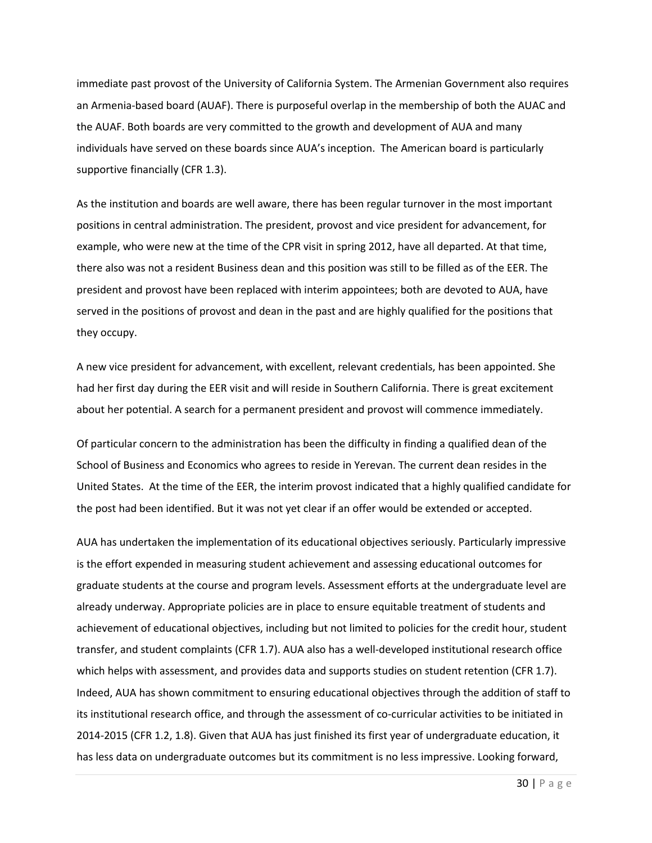immediate past provost of the University of California System. The Armenian Government also requires an Armenia-based board (AUAF). There is purposeful overlap in the membership of both the AUAC and the AUAF. Both boards are very committed to the growth and development of AUA and many individuals have served on these boards since AUA's inception. The American board is particularly supportive financially (CFR 1.3).

As the institution and boards are well aware, there has been regular turnover in the most important positions in central administration. The president, provost and vice president for advancement, for example, who were new at the time of the CPR visit in spring 2012, have all departed. At that time, there also was not a resident Business dean and this position was still to be filled as of the EER. The president and provost have been replaced with interim appointees; both are devoted to AUA, have served in the positions of provost and dean in the past and are highly qualified for the positions that they occupy.

A new vice president for advancement, with excellent, relevant credentials, has been appointed. She had her first day during the EER visit and will reside in Southern California. There is great excitement about her potential. A search for a permanent president and provost will commence immediately.

Of particular concern to the administration has been the difficulty in finding a qualified dean of the School of Business and Economics who agrees to reside in Yerevan. The current dean resides in the United States. At the time of the EER, the interim provost indicated that a highly qualified candidate for the post had been identified. But it was not yet clear if an offer would be extended or accepted.

AUA has undertaken the implementation of its educational objectives seriously. Particularly impressive is the effort expended in measuring student achievement and assessing educational outcomes for graduate students at the course and program levels. Assessment efforts at the undergraduate level are already underway. Appropriate policies are in place to ensure equitable treatment of students and achievement of educational objectives, including but not limited to policies for the credit hour, student transfer, and student complaints (CFR 1.7). AUA also has a well-developed institutional research office which helps with assessment, and provides data and supports studies on student retention (CFR 1.7). Indeed, AUA has shown commitment to ensuring educational objectives through the addition of staff to its institutional research office, and through the assessment of co-curricular activities to be initiated in 2014-2015 (CFR 1.2, 1.8). Given that AUA has just finished its first year of undergraduate education, it has less data on undergraduate outcomes but its commitment is no less impressive. Looking forward,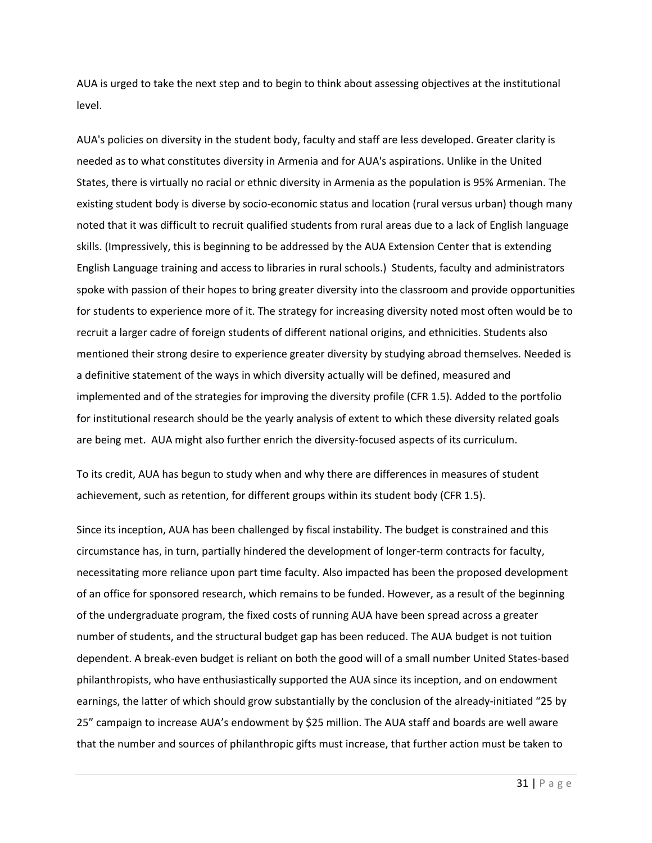AUA is urged to take the next step and to begin to think about assessing objectives at the institutional level.

AUA's policies on diversity in the student body, faculty and staff are less developed. Greater clarity is needed as to what constitutes diversity in Armenia and for AUA's aspirations. Unlike in the United States, there is virtually no racial or ethnic diversity in Armenia as the population is 95% Armenian. The existing student body is diverse by socio-economic status and location (rural versus urban) though many noted that it was difficult to recruit qualified students from rural areas due to a lack of English language skills. (Impressively, this is beginning to be addressed by the AUA Extension Center that is extending English Language training and access to libraries in rural schools.) Students, faculty and administrators spoke with passion of their hopes to bring greater diversity into the classroom and provide opportunities for students to experience more of it. The strategy for increasing diversity noted most often would be to recruit a larger cadre of foreign students of different national origins, and ethnicities. Students also mentioned their strong desire to experience greater diversity by studying abroad themselves. Needed is a definitive statement of the ways in which diversity actually will be defined, measured and implemented and of the strategies for improving the diversity profile (CFR 1.5). Added to the portfolio for institutional research should be the yearly analysis of extent to which these diversity related goals are being met. AUA might also further enrich the diversity-focused aspects of its curriculum.

To its credit, AUA has begun to study when and why there are differences in measures of student achievement, such as retention, for different groups within its student body (CFR 1.5).

Since its inception, AUA has been challenged by fiscal instability. The budget is constrained and this circumstance has, in turn, partially hindered the development of longer-term contracts for faculty, necessitating more reliance upon part time faculty. Also impacted has been the proposed development of an office for sponsored research, which remains to be funded. However, as a result of the beginning of the undergraduate program, the fixed costs of running AUA have been spread across a greater number of students, and the structural budget gap has been reduced. The AUA budget is not tuition dependent. A break-even budget is reliant on both the good will of a small number United States-based philanthropists, who have enthusiastically supported the AUA since its inception, and on endowment earnings, the latter of which should grow substantially by the conclusion of the already-initiated "25 by 25" campaign to increase AUA's endowment by \$25 million. The AUA staff and boards are well aware that the number and sources of philanthropic gifts must increase, that further action must be taken to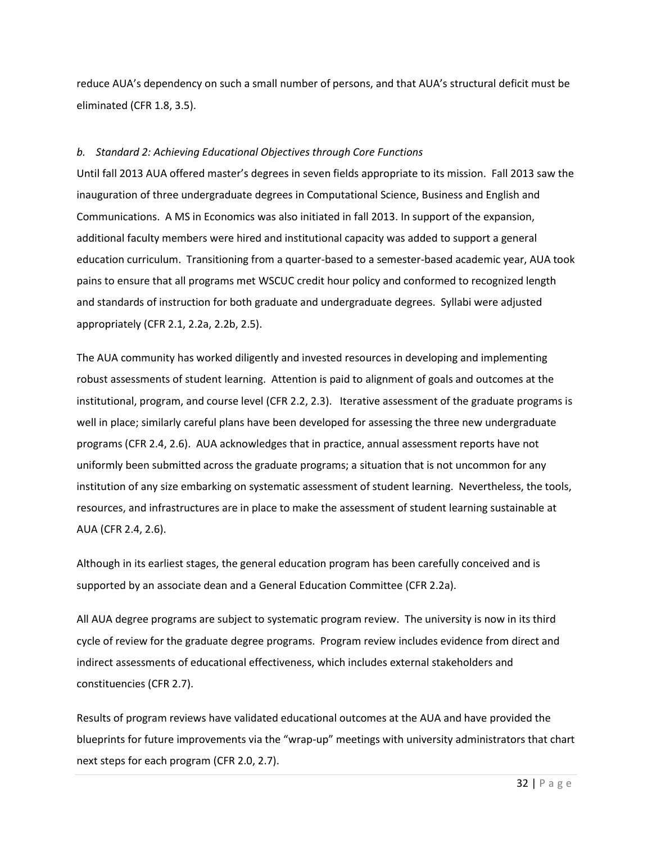reduce AUA's dependency on such a small number of persons, and that AUA's structural deficit must be eliminated (CFR 1.8, 3.5).

## *b. Standard 2: Achieving Educational Objectives through Core Functions*

Until fall 2013 AUA offered master's degrees in seven fields appropriate to its mission. Fall 2013 saw the inauguration of three undergraduate degrees in Computational Science, Business and English and Communications. A MS in Economics was also initiated in fall 2013. In support of the expansion, additional faculty members were hired and institutional capacity was added to support a general education curriculum. Transitioning from a quarter-based to a semester-based academic year, AUA took pains to ensure that all programs met WSCUC credit hour policy and conformed to recognized length and standards of instruction for both graduate and undergraduate degrees. Syllabi were adjusted appropriately (CFR 2.1, 2.2a, 2.2b, 2.5).

The AUA community has worked diligently and invested resources in developing and implementing robust assessments of student learning. Attention is paid to alignment of goals and outcomes at the institutional, program, and course level (CFR 2.2, 2.3). Iterative assessment of the graduate programs is well in place; similarly careful plans have been developed for assessing the three new undergraduate programs (CFR 2.4, 2.6). AUA acknowledges that in practice, annual assessment reports have not uniformly been submitted across the graduate programs; a situation that is not uncommon for any institution of any size embarking on systematic assessment of student learning. Nevertheless, the tools, resources, and infrastructures are in place to make the assessment of student learning sustainable at AUA (CFR 2.4, 2.6).

Although in its earliest stages, the general education program has been carefully conceived and is supported by an associate dean and a General Education Committee (CFR 2.2a).

All AUA degree programs are subject to systematic program review. The university is now in its third cycle of review for the graduate degree programs. Program review includes evidence from direct and indirect assessments of educational effectiveness, which includes external stakeholders and constituencies (CFR 2.7).

Results of program reviews have validated educational outcomes at the AUA and have provided the blueprints for future improvements via the "wrap-up" meetings with university administrators that chart next steps for each program (CFR 2.0, 2.7).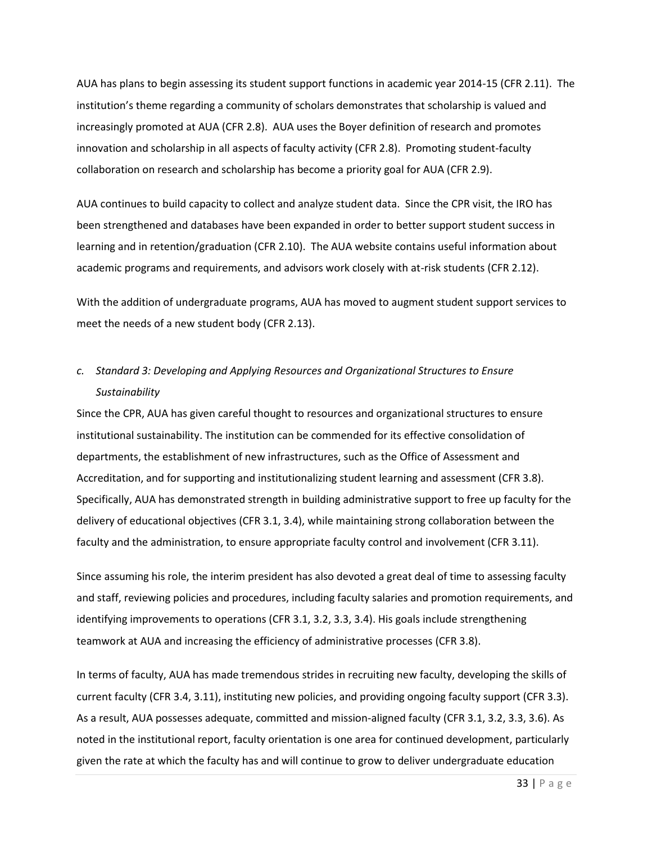AUA has plans to begin assessing its student support functions in academic year 2014-15 (CFR 2.11). The institution's theme regarding a community of scholars demonstrates that scholarship is valued and increasingly promoted at AUA (CFR 2.8). AUA uses the Boyer definition of research and promotes innovation and scholarship in all aspects of faculty activity (CFR 2.8). Promoting student-faculty collaboration on research and scholarship has become a priority goal for AUA (CFR 2.9).

AUA continues to build capacity to collect and analyze student data. Since the CPR visit, the IRO has been strengthened and databases have been expanded in order to better support student success in learning and in retention/graduation (CFR 2.10). The AUA website contains useful information about academic programs and requirements, and advisors work closely with at-risk students (CFR 2.12).

With the addition of undergraduate programs, AUA has moved to augment student support services to meet the needs of a new student body (CFR 2.13).

# *c. Standard 3: Developing and Applying Resources and Organizational Structures to Ensure Sustainability*

Since the CPR, AUA has given careful thought to resources and organizational structures to ensure institutional sustainability. The institution can be commended for its effective consolidation of departments, the establishment of new infrastructures, such as the Office of Assessment and Accreditation, and for supporting and institutionalizing student learning and assessment (CFR 3.8). Specifically, AUA has demonstrated strength in building administrative support to free up faculty for the delivery of educational objectives (CFR 3.1, 3.4), while maintaining strong collaboration between the faculty and the administration, to ensure appropriate faculty control and involvement (CFR 3.11).

Since assuming his role, the interim president has also devoted a great deal of time to assessing faculty and staff, reviewing policies and procedures, including faculty salaries and promotion requirements, and identifying improvements to operations (CFR 3.1, 3.2, 3.3, 3.4). His goals include strengthening teamwork at AUA and increasing the efficiency of administrative processes (CFR 3.8).

In terms of faculty, AUA has made tremendous strides in recruiting new faculty, developing the skills of current faculty (CFR 3.4, 3.11), instituting new policies, and providing ongoing faculty support (CFR 3.3). As a result, AUA possesses adequate, committed and mission-aligned faculty (CFR 3.1, 3.2, 3.3, 3.6). As noted in the institutional report, faculty orientation is one area for continued development, particularly given the rate at which the faculty has and will continue to grow to deliver undergraduate education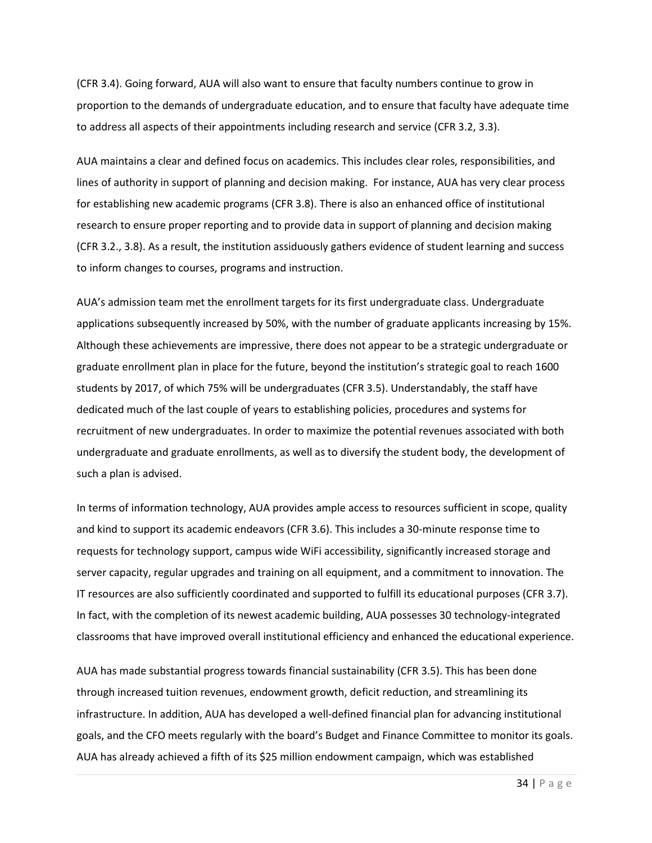(CFR 3.4). Going forward, AUA will also want to ensure that faculty numbers continue to grow in proportion to the demands of undergraduate education, and to ensure that faculty have adequate time to address all aspects of their appointments including research and service (CFR 3.2, 3.3).

AUA maintains a clear and defined focus on academics. This includes clear roles, responsibilities, and lines of authority in support of planning and decision making. For instance, AUA has very clear process for establishing new academic programs (CFR 3.8). There is also an enhanced office of institutional research to ensure proper reporting and to provide data in support of planning and decision making (CFR 3.2., 3.8). As a result, the institution assiduously gathers evidence of student learning and success to inform changes to courses, programs and instruction.

AUA's admission team met the enrollment targets for its first undergraduate class. Undergraduate applications subsequently increased by 50%, with the number of graduate applicants increasing by 15%. Although these achievements are impressive, there does not appear to be a strategic undergraduate or graduate enrollment plan in place for the future, beyond the institution's strategic goal to reach 1600 students by 2017, of which 75% will be undergraduates (CFR 3.5). Understandably, the staff have dedicated much of the last couple of years to establishing policies, procedures and systems for recruitment of new undergraduates. In order to maximize the potential revenues associated with both undergraduate and graduate enrollments, as well as to diversify the student body, the development of such a plan is advised.

In terms of information technology, AUA provides ample access to resources sufficient in scope, quality and kind to support its academic endeavors (CFR 3.6). This includes a 30-minute response time to requests for technology support, campus wide WiFi accessibility, significantly increased storage and server capacity, regular upgrades and training on all equipment, and a commitment to innovation. The IT resources are also sufficiently coordinated and supported to fulfill its educational purposes (CFR 3.7). In fact, with the completion of its newest academic building, AUA possesses 30 technology-integrated classrooms that have improved overall institutional efficiency and enhanced the educational experience.

AUA has made substantial progress towards financial sustainability (CFR 3.5). This has been done through increased tuition revenues, endowment growth, deficit reduction, and streamlining its infrastructure. In addition, AUA has developed a well-defined financial plan for advancing institutional goals, and the CFO meets regularly with the board's Budget and Finance Committee to monitor its goals. AUA has already achieved a fifth of its \$25 million endowment campaign, which was established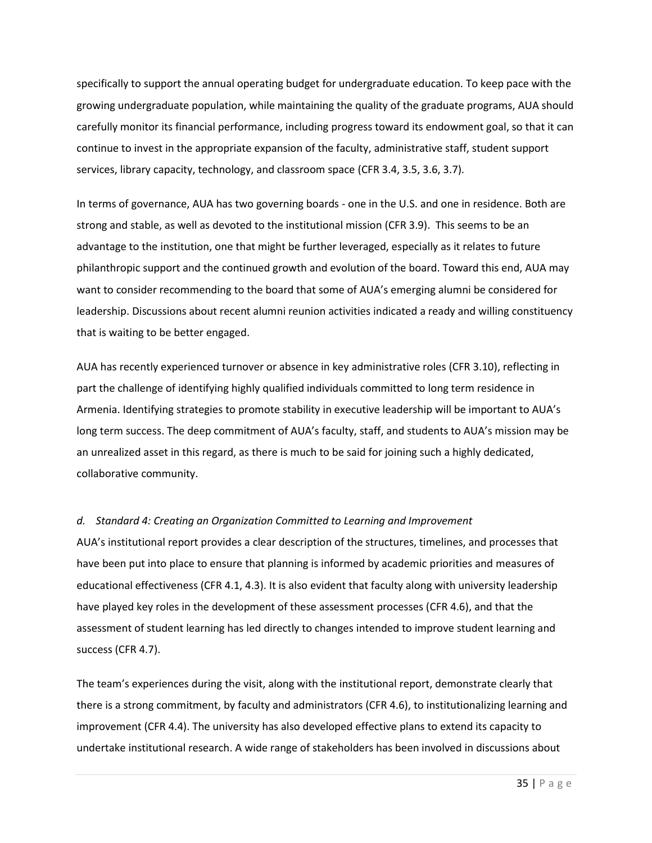specifically to support the annual operating budget for undergraduate education. To keep pace with the growing undergraduate population, while maintaining the quality of the graduate programs, AUA should carefully monitor its financial performance, including progress toward its endowment goal, so that it can continue to invest in the appropriate expansion of the faculty, administrative staff, student support services, library capacity, technology, and classroom space (CFR 3.4, 3.5, 3.6, 3.7).

In terms of governance, AUA has two governing boards - one in the U.S. and one in residence. Both are strong and stable, as well as devoted to the institutional mission (CFR 3.9). This seems to be an advantage to the institution, one that might be further leveraged, especially as it relates to future philanthropic support and the continued growth and evolution of the board. Toward this end, AUA may want to consider recommending to the board that some of AUA's emerging alumni be considered for leadership. Discussions about recent alumni reunion activities indicated a ready and willing constituency that is waiting to be better engaged.

AUA has recently experienced turnover or absence in key administrative roles (CFR 3.10), reflecting in part the challenge of identifying highly qualified individuals committed to long term residence in Armenia. Identifying strategies to promote stability in executive leadership will be important to AUA's long term success. The deep commitment of AUA's faculty, staff, and students to AUA's mission may be an unrealized asset in this regard, as there is much to be said for joining such a highly dedicated, collaborative community.

## *d. Standard 4: Creating an Organization Committed to Learning and Improvement*

AUA's institutional report provides a clear description of the structures, timelines, and processes that have been put into place to ensure that planning is informed by academic priorities and measures of educational effectiveness (CFR 4.1, 4.3). It is also evident that faculty along with university leadership have played key roles in the development of these assessment processes (CFR 4.6), and that the assessment of student learning has led directly to changes intended to improve student learning and success (CFR 4.7).

The team's experiences during the visit, along with the institutional report, demonstrate clearly that there is a strong commitment, by faculty and administrators (CFR 4.6), to institutionalizing learning and improvement (CFR 4.4). The university has also developed effective plans to extend its capacity to undertake institutional research. A wide range of stakeholders has been involved in discussions about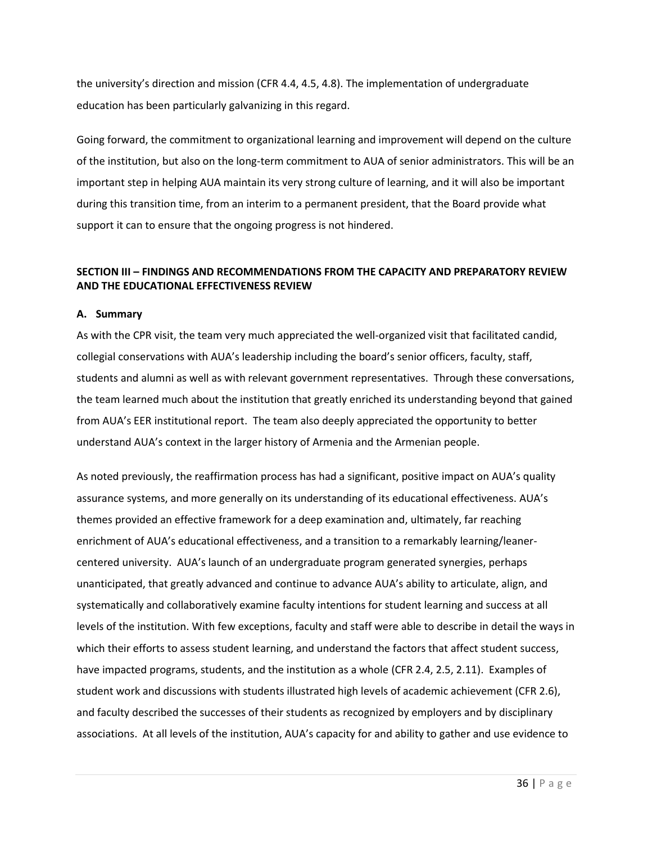the university's direction and mission (CFR 4.4, 4.5, 4.8). The implementation of undergraduate education has been particularly galvanizing in this regard.

Going forward, the commitment to organizational learning and improvement will depend on the culture of the institution, but also on the long-term commitment to AUA of senior administrators. This will be an important step in helping AUA maintain its very strong culture of learning, and it will also be important during this transition time, from an interim to a permanent president, that the Board provide what support it can to ensure that the ongoing progress is not hindered.

## **SECTION III – FINDINGS AND RECOMMENDATIONS FROM THE CAPACITY AND PREPARATORY REVIEW AND THE EDUCATIONAL EFFECTIVENESS REVIEW**

#### **A. Summary**

As with the CPR visit, the team very much appreciated the well-organized visit that facilitated candid, collegial conservations with AUA's leadership including the board's senior officers, faculty, staff, students and alumni as well as with relevant government representatives. Through these conversations, the team learned much about the institution that greatly enriched its understanding beyond that gained from AUA's EER institutional report. The team also deeply appreciated the opportunity to better understand AUA's context in the larger history of Armenia and the Armenian people.

As noted previously, the reaffirmation process has had a significant, positive impact on AUA's quality assurance systems, and more generally on its understanding of its educational effectiveness. AUA's themes provided an effective framework for a deep examination and, ultimately, far reaching enrichment of AUA's educational effectiveness, and a transition to a remarkably learning/leanercentered university. AUA's launch of an undergraduate program generated synergies, perhaps unanticipated, that greatly advanced and continue to advance AUA's ability to articulate, align, and systematically and collaboratively examine faculty intentions for student learning and success at all levels of the institution. With few exceptions, faculty and staff were able to describe in detail the ways in which their efforts to assess student learning, and understand the factors that affect student success, have impacted programs, students, and the institution as a whole (CFR 2.4, 2.5, 2.11). Examples of student work and discussions with students illustrated high levels of academic achievement (CFR 2.6), and faculty described the successes of their students as recognized by employers and by disciplinary associations. At all levels of the institution, AUA's capacity for and ability to gather and use evidence to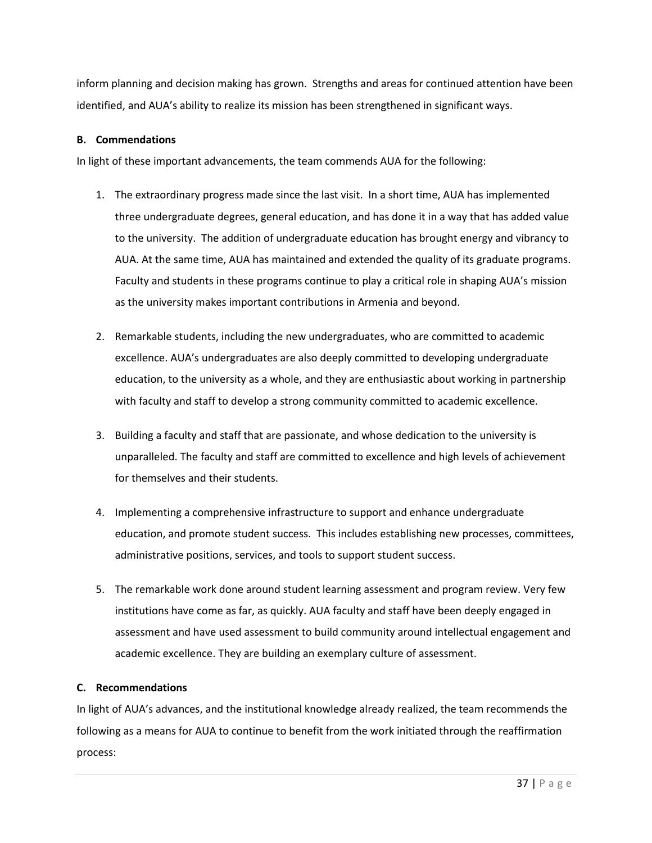inform planning and decision making has grown. Strengths and areas for continued attention have been identified, and AUA's ability to realize its mission has been strengthened in significant ways.

## **B. Commendations**

In light of these important advancements, the team commends AUA for the following:

- 1. The extraordinary progress made since the last visit. In a short time, AUA has implemented three undergraduate degrees, general education, and has done it in a way that has added value to the university. The addition of undergraduate education has brought energy and vibrancy to AUA. At the same time, AUA has maintained and extended the quality of its graduate programs. Faculty and students in these programs continue to play a critical role in shaping AUA's mission as the university makes important contributions in Armenia and beyond.
- 2. Remarkable students, including the new undergraduates, who are committed to academic excellence. AUA's undergraduates are also deeply committed to developing undergraduate education, to the university as a whole, and they are enthusiastic about working in partnership with faculty and staff to develop a strong community committed to academic excellence.
- 3. Building a faculty and staff that are passionate, and whose dedication to the university is unparalleled. The faculty and staff are committed to excellence and high levels of achievement for themselves and their students.
- 4. Implementing a comprehensive infrastructure to support and enhance undergraduate education, and promote student success. This includes establishing new processes, committees, administrative positions, services, and tools to support student success.
- 5. The remarkable work done around student learning assessment and program review. Very few institutions have come as far, as quickly. AUA faculty and staff have been deeply engaged in assessment and have used assessment to build community around intellectual engagement and academic excellence. They are building an exemplary culture of assessment.

## **C. Recommendations**

In light of AUA's advances, and the institutional knowledge already realized, the team recommends the following as a means for AUA to continue to benefit from the work initiated through the reaffirmation process: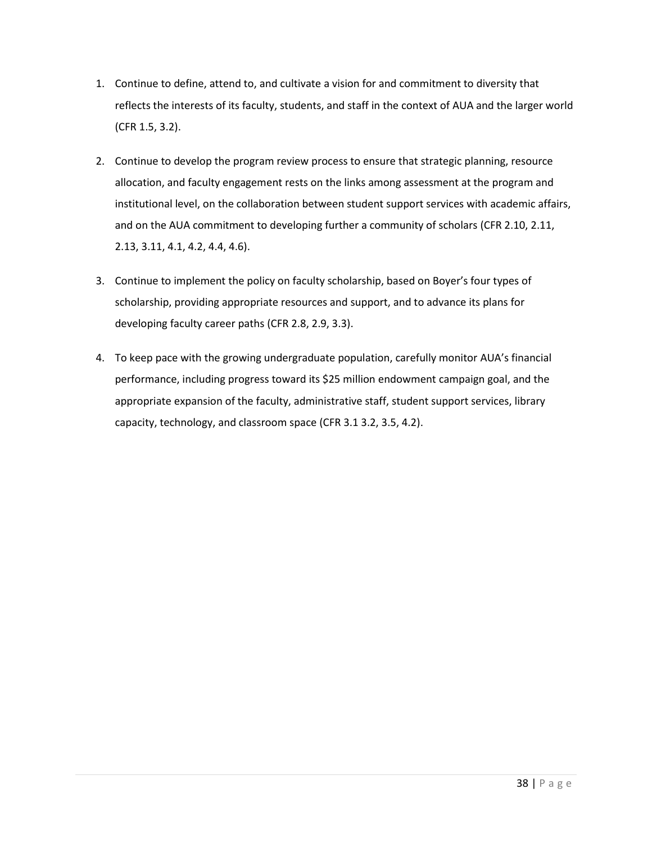- 1. Continue to define, attend to, and cultivate a vision for and commitment to diversity that reflects the interests of its faculty, students, and staff in the context of AUA and the larger world (CFR 1.5, 3.2).
- 2. Continue to develop the program review process to ensure that strategic planning, resource allocation, and faculty engagement rests on the links among assessment at the program and institutional level, on the collaboration between student support services with academic affairs, and on the AUA commitment to developing further a community of scholars (CFR 2.10, 2.11, 2.13, 3.11, 4.1, 4.2, 4.4, 4.6).
- 3. Continue to implement the policy on faculty scholarship, based on Boyer's four types of scholarship, providing appropriate resources and support, and to advance its plans for developing faculty career paths (CFR 2.8, 2.9, 3.3).
- 4. To keep pace with the growing undergraduate population, carefully monitor AUA's financial performance, including progress toward its \$25 million endowment campaign goal, and the appropriate expansion of the faculty, administrative staff, student support services, library capacity, technology, and classroom space (CFR 3.1 3.2, 3.5, 4.2).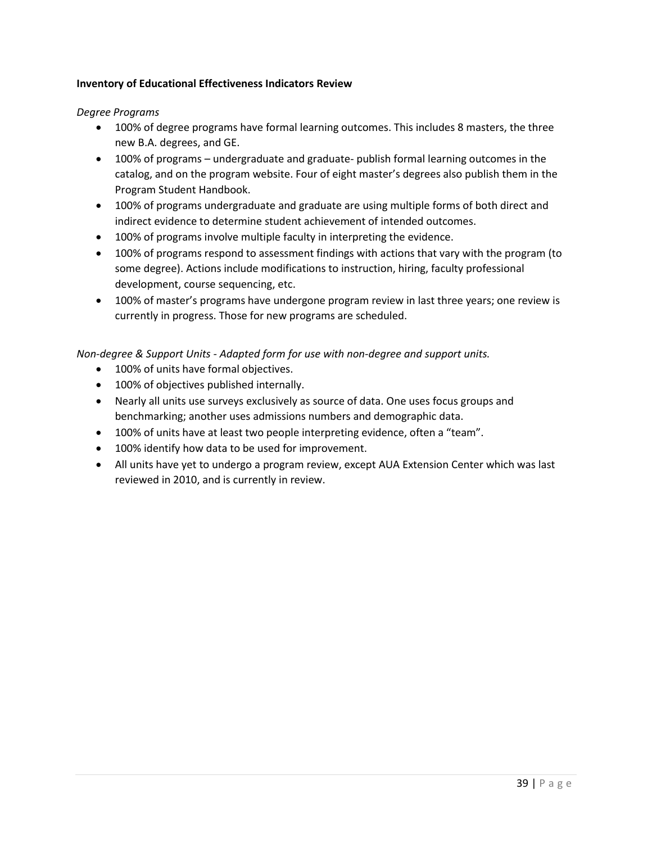## **Inventory of Educational Effectiveness Indicators Review**

*Degree Programs*

- 100% of degree programs have formal learning outcomes. This includes 8 masters, the three new B.A. degrees, and GE.
- 100% of programs undergraduate and graduate- publish formal learning outcomes in the catalog, and on the program website. Four of eight master's degrees also publish them in the Program Student Handbook.
- 100% of programs undergraduate and graduate are using multiple forms of both direct and indirect evidence to determine student achievement of intended outcomes.
- 100% of programs involve multiple faculty in interpreting the evidence.
- 100% of programs respond to assessment findings with actions that vary with the program (to some degree). Actions include modifications to instruction, hiring, faculty professional development, course sequencing, etc.
- 100% of master's programs have undergone program review in last three years; one review is currently in progress. Those for new programs are scheduled.

*Non-degree & Support Units - Adapted form for use with non-degree and support units.* 

- 100% of units have formal objectives.
- 100% of objectives published internally.
- Nearly all units use surveys exclusively as source of data. One uses focus groups and benchmarking; another uses admissions numbers and demographic data.
- 100% of units have at least two people interpreting evidence, often a "team".
- 100% identify how data to be used for improvement.
- All units have yet to undergo a program review, except AUA Extension Center which was last reviewed in 2010, and is currently in review.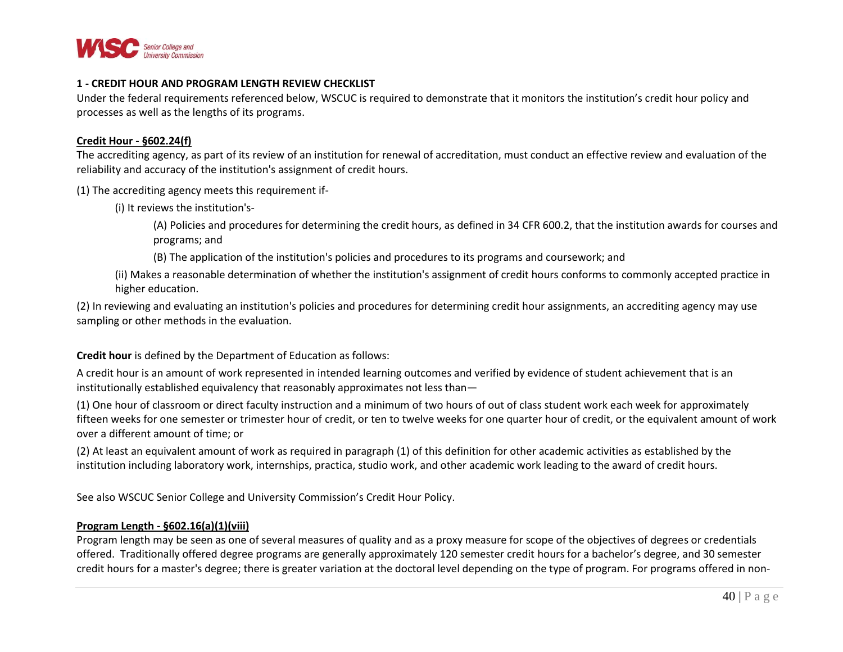

#### **1 - CREDIT HOUR AND PROGRAM LENGTH REVIEW CHECKLIST**

Under the federal requirements referenced below, WSCUC is required to demonstrate that it monitors the institution's credit hour policy and processes as well as the lengths of its programs.

#### **Credit Hour - §602.24(f)**

The accrediting agency, as part of its review of an institution for renewal of accreditation, must conduct an effective review and evaluation of the reliability and accuracy of the institution's assignment of credit hours.

(1) The accrediting agency meets this requirement if-

(i) It reviews the institution's-

(A) Policies and procedures for determining the credit hours, as defined in 34 CFR 600.2, that the institution awards for courses and programs; and

(B) The application of the institution's policies and procedures to its programs and coursework; and

(ii) Makes a reasonable determination of whether the institution's assignment of credit hours conforms to commonly accepted practice in higher education.

(2) In reviewing and evaluating an institution's policies and procedures for determining credit hour assignments, an accrediting agency may use sampling or other methods in the evaluation.

#### **Credit hour** is defined by the Department of Education as follows:

A credit hour is an amount of work represented in intended learning outcomes and verified by evidence of student achievement that is an institutionally established equivalency that reasonably approximates not less than—

(1) One hour of classroom or direct faculty instruction and a minimum of two hours of out of class student work each week for approximately fifteen weeks for one semester or trimester hour of credit, or ten to twelve weeks for one quarter hour of credit, or the equivalent amount of work over a different amount of time; or

(2) At least an equivalent amount of work as required in paragraph (1) of this definition for other academic activities as established by the institution including laboratory work, internships, practica, studio work, and other academic work leading to the award of credit hours.

See also WSCUC Senior College and University Commission's Credit Hour Policy.

## **Program Length - §602.16(a)(1)(viii)**

Program length may be seen as one of several measures of quality and as a proxy measure for scope of the objectives of degrees or credentials offered. Traditionally offered degree programs are generally approximately 120 semester credit hours for a bachelor's degree, and 30 semester credit hours for a master's degree; there is greater variation at the doctoral level depending on the type of program. For programs offered in non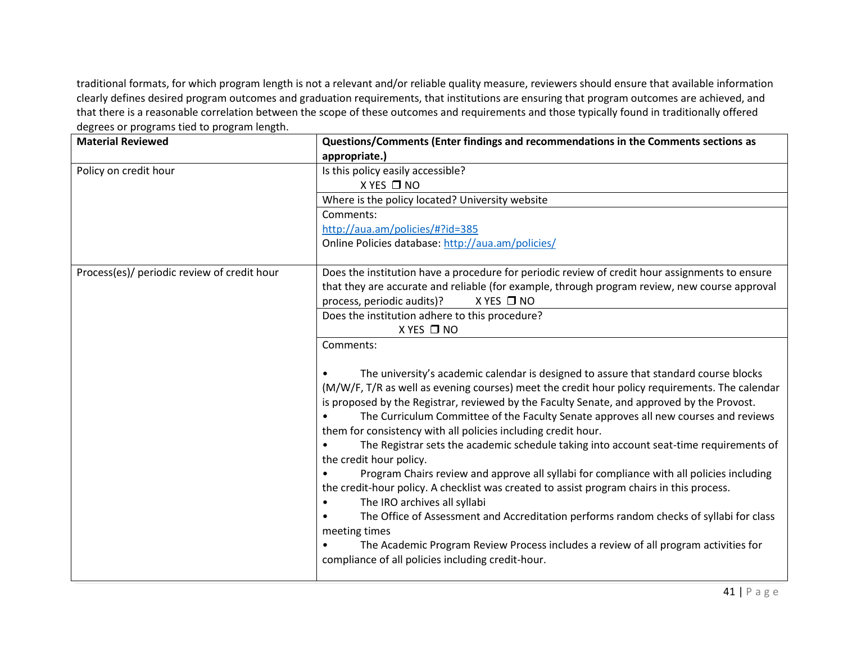traditional formats, for which program length is not a relevant and/or reliable quality measure, reviewers should ensure that available information clearly defines desired program outcomes and graduation requirements, that institutions are ensuring that program outcomes are achieved, and that there is a reasonable correlation between the scope of these outcomes and requirements and those typically found in traditionally offered degrees or programs tied to program length.

| <b>Material Reviewed</b>                    | Questions/Comments (Enter findings and recommendations in the Comments sections as             |
|---------------------------------------------|------------------------------------------------------------------------------------------------|
|                                             | appropriate.)                                                                                  |
| Policy on credit hour                       | Is this policy easily accessible?                                                              |
|                                             | X YES □ NO                                                                                     |
|                                             | Where is the policy located? University website                                                |
|                                             | Comments:                                                                                      |
|                                             | http://aua.am/policies/#?id=385                                                                |
|                                             | Online Policies database: http://aua.am/policies/                                              |
|                                             |                                                                                                |
| Process(es)/ periodic review of credit hour | Does the institution have a procedure for periodic review of credit hour assignments to ensure |
|                                             | that they are accurate and reliable (for example, through program review, new course approval  |
|                                             | $X$ YES $\Box$ NO<br>process, periodic audits)?                                                |
|                                             | Does the institution adhere to this procedure?                                                 |
|                                             | X YES □ NO                                                                                     |
|                                             | Comments:                                                                                      |
|                                             |                                                                                                |
|                                             | The university's academic calendar is designed to assure that standard course blocks           |
|                                             | (M/W/F, T/R as well as evening courses) meet the credit hour policy requirements. The calendar |
|                                             | is proposed by the Registrar, reviewed by the Faculty Senate, and approved by the Provost.     |
|                                             | The Curriculum Committee of the Faculty Senate approves all new courses and reviews            |
|                                             | them for consistency with all policies including credit hour.                                  |
|                                             | The Registrar sets the academic schedule taking into account seat-time requirements of         |
|                                             | the credit hour policy.                                                                        |
|                                             | Program Chairs review and approve all syllabi for compliance with all policies including       |
|                                             | the credit-hour policy. A checklist was created to assist program chairs in this process.      |
|                                             | The IRO archives all syllabi<br>$\bullet$                                                      |
|                                             | The Office of Assessment and Accreditation performs random checks of syllabi for class         |
|                                             | meeting times                                                                                  |
|                                             | The Academic Program Review Process includes a review of all program activities for            |
|                                             | compliance of all policies including credit-hour.                                              |
|                                             |                                                                                                |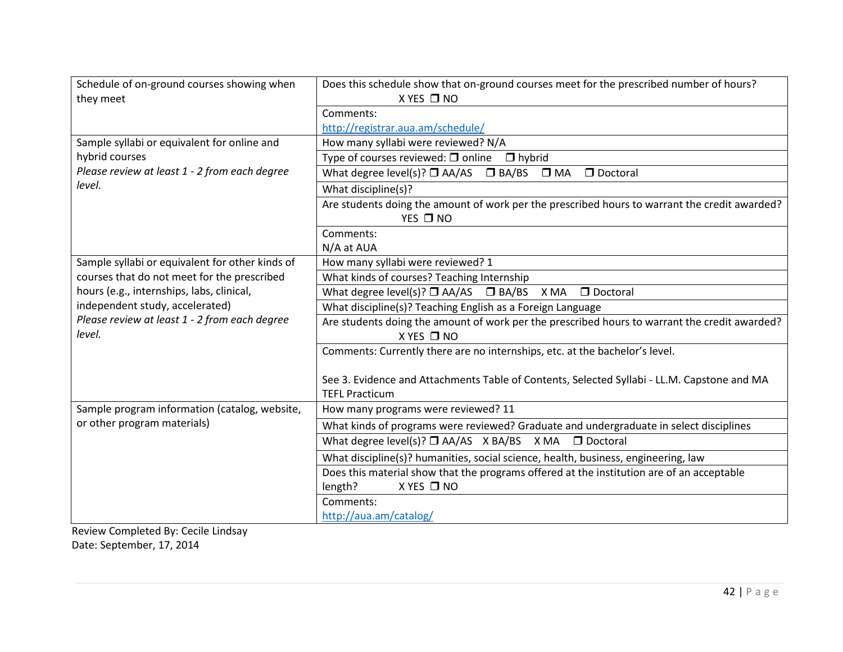| Schedule of on-ground courses showing when              | Does this schedule show that on-ground courses meet for the prescribed number of hours?                              |
|---------------------------------------------------------|----------------------------------------------------------------------------------------------------------------------|
| they meet                                               | X YES □ NO                                                                                                           |
|                                                         | Comments:                                                                                                            |
|                                                         | http://registrar.aua.am/schedule/                                                                                    |
| Sample syllabi or equivalent for online and             | How many syllabi were reviewed? N/A                                                                                  |
| hybrid courses                                          | Type of courses reviewed: $\square$ online<br>$\Box$ hybrid                                                          |
| Please review at least 1 - 2 from each degree           | What degree level(s)? $\Box$ AA/AS $\Box$ BA/BS $\Box$ MA<br>D Doctoral                                              |
| level.                                                  | What discipline(s)?                                                                                                  |
|                                                         | Are students doing the amount of work per the prescribed hours to warrant the credit awarded?<br>YES □ NO            |
|                                                         | Comments:                                                                                                            |
|                                                         | N/A at AUA                                                                                                           |
| Sample syllabi or equivalent for other kinds of         | How many syllabi were reviewed? 1                                                                                    |
| courses that do not meet for the prescribed             | What kinds of courses? Teaching Internship                                                                           |
| hours (e.g., internships, labs, clinical,               | What degree level(s)? $\Box$ AA/AS $\Box$ BA/BS X MA $\Box$ Doctoral                                                 |
| independent study, accelerated)                         | What discipline(s)? Teaching English as a Foreign Language                                                           |
| Please review at least 1 - 2 from each degree<br>level. | Are students doing the amount of work per the prescribed hours to warrant the credit awarded?<br>X YES □ NO          |
|                                                         | Comments: Currently there are no internships, etc. at the bachelor's level.                                          |
|                                                         | See 3. Evidence and Attachments Table of Contents, Selected Syllabi - LL.M. Capstone and MA<br><b>TEFL Practicum</b> |
| Sample program information (catalog, website,           | How many programs were reviewed? 11                                                                                  |
| or other program materials)                             | What kinds of programs were reviewed? Graduate and undergraduate in select disciplines                               |
|                                                         | What degree level(s)? $\Box$ AA/AS X BA/BS X MA $\Box$ Doctoral                                                      |
|                                                         | What discipline(s)? humanities, social science, health, business, engineering, law                                   |
|                                                         | Does this material show that the programs offered at the institution are of an acceptable                            |
|                                                         | X YES □ NO<br>length?                                                                                                |
|                                                         | Comments:                                                                                                            |
|                                                         | http://aua.am/catalog/                                                                                               |

Review Completed By: Cecile Lindsay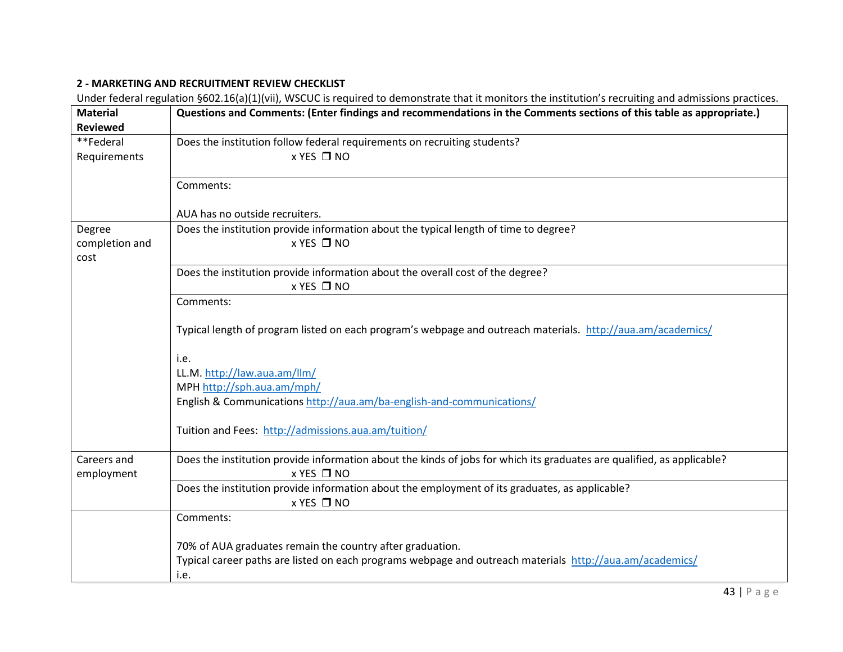# **2 - MARKETING AND RECRUITMENT REVIEW CHECKLIST**

Under federal regulation §602.16(a)(1)(vii), WSCUC is required to demonstrate that it monitors the institution's recruiting and admissions practices.

| Typical length of program listed on each program's webpage and outreach materials. http://aua.am/academics/            |
|------------------------------------------------------------------------------------------------------------------------|
|                                                                                                                        |
|                                                                                                                        |
|                                                                                                                        |
|                                                                                                                        |
|                                                                                                                        |
|                                                                                                                        |
| Does the institution provide information about the kinds of jobs for which its graduates are qualified, as applicable? |
|                                                                                                                        |
|                                                                                                                        |
|                                                                                                                        |
|                                                                                                                        |
|                                                                                                                        |
| Typical career paths are listed on each programs webpage and outreach materials http://aua.am/academics/               |
|                                                                                                                        |
|                                                                                                                        |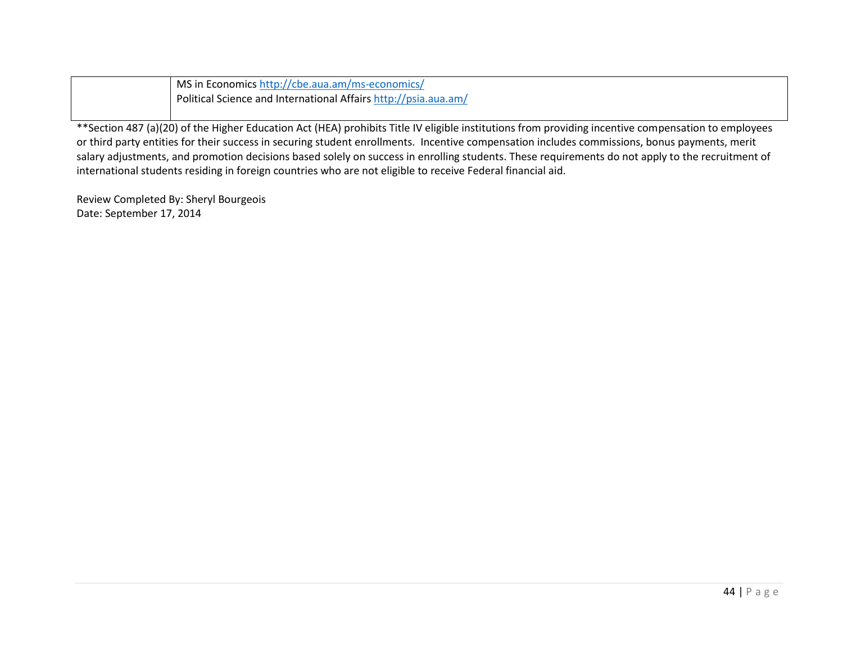| MS in Economics http://cbe.aua.am/ms-economics/                 |
|-----------------------------------------------------------------|
| Political Science and International Affairs http://psia.aua.am/ |

\*\*Section 487 (a)(20) of the Higher Education Act (HEA) prohibits Title IV eligible institutions from providing incentive compensation to employees or third party entities for their success in securing student enrollments. Incentive compensation includes commissions, bonus payments, merit salary adjustments, and promotion decisions based solely on success in enrolling students. These requirements do not apply to the recruitment of international students residing in foreign countries who are not eligible to receive Federal financial aid.

Review Completed By: Sheryl Bourgeois Date: September 17, 2014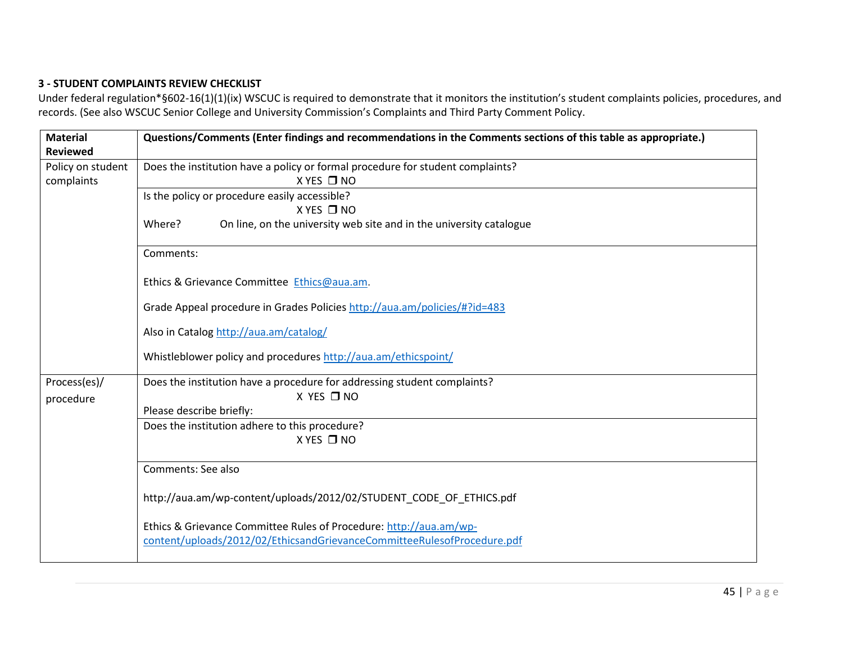# **3 - STUDENT COMPLAINTS REVIEW CHECKLIST**

Under federal regulation\*§602-16(1)(1)(ix) WSCUC is required to demonstrate that it monitors the institution's student complaints policies, procedures, and records. (See also WSCUC Senior College and University Commission's Complaints and Third Party Comment Policy.

| <b>Material</b><br><b>Reviewed</b> | Questions/Comments (Enter findings and recommendations in the Comments sections of this table as appropriate.)                                |
|------------------------------------|-----------------------------------------------------------------------------------------------------------------------------------------------|
| Policy on student<br>complaints    | Does the institution have a policy or formal procedure for student complaints?<br>$X$ YES $\Box$ NO                                           |
|                                    | Is the policy or procedure easily accessible?<br>$X$ YES $\Box$ NO                                                                            |
|                                    | Where?<br>On line, on the university web site and in the university catalogue                                                                 |
|                                    | Comments:                                                                                                                                     |
|                                    | Ethics & Grievance Committee Ethics@aua.am.                                                                                                   |
|                                    | Grade Appeal procedure in Grades Policies http://aua.am/policies/#?id=483                                                                     |
|                                    | Also in Catalog http://aua.am/catalog/                                                                                                        |
|                                    | Whistleblower policy and procedures http://aua.am/ethicspoint/                                                                                |
| Process(es)/<br>procedure          | Does the institution have a procedure for addressing student complaints?<br>X YES □ NO                                                        |
|                                    | Please describe briefly:                                                                                                                      |
|                                    | Does the institution adhere to this procedure?                                                                                                |
|                                    | X YES □ NO                                                                                                                                    |
|                                    | Comments: See also                                                                                                                            |
|                                    | http://aua.am/wp-content/uploads/2012/02/STUDENT_CODE_OF_ETHICS.pdf                                                                           |
|                                    | Ethics & Grievance Committee Rules of Procedure: http://aua.am/wp-<br>content/uploads/2012/02/EthicsandGrievanceCommitteeRulesofProcedure.pdf |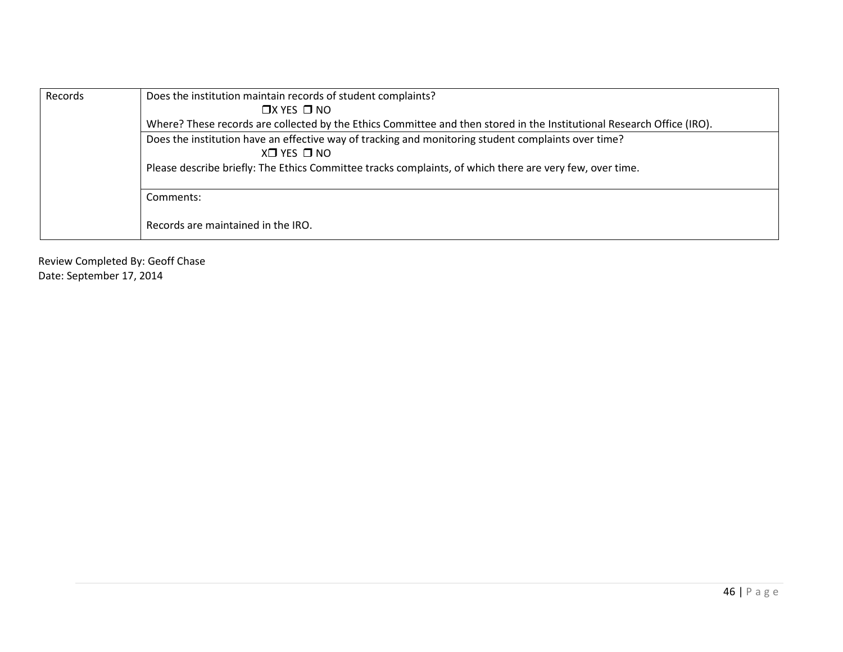| Records | Does the institution maintain records of student complaints?                                                           |
|---------|------------------------------------------------------------------------------------------------------------------------|
|         | $\Box$ X YES $\Box$ NO                                                                                                 |
|         | Where? These records are collected by the Ethics Committee and then stored in the Institutional Research Office (IRO). |
|         | Does the institution have an effective way of tracking and monitoring student complaints over time?<br>X□ YES □ NO     |
|         | Please describe briefly: The Ethics Committee tracks complaints, of which there are very few, over time.               |
|         | Comments:                                                                                                              |
|         | Records are maintained in the IRO.                                                                                     |

Review Completed By: Geoff Chase Date: September 17, 2014